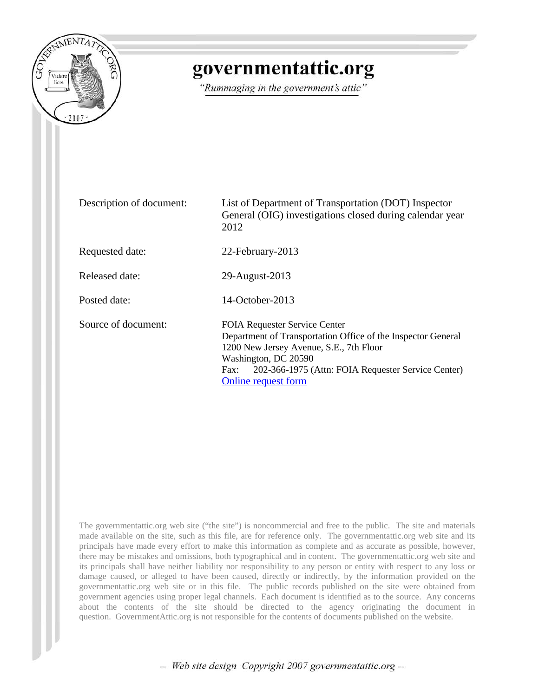

## governmentattic.org

"Rummaging in the government's attic"

| Description of document: | List of Department of Transportation (DOT) Inspector<br>General (OIG) investigations closed during calendar year<br>2012                                                                                                                                     |
|--------------------------|--------------------------------------------------------------------------------------------------------------------------------------------------------------------------------------------------------------------------------------------------------------|
| Requested date:          | 22-February-2013                                                                                                                                                                                                                                             |
| Released date:           | 29-August-2013                                                                                                                                                                                                                                               |
| Posted date:             | $14$ -October-2013                                                                                                                                                                                                                                           |
| Source of document:      | <b>FOIA Requester Service Center</b><br>Department of Transportation Office of the Inspector General<br>1200 New Jersey Avenue, S.E., 7th Floor<br>Washington, DC 20590<br>202-366-1975 (Attn: FOIA Requester Service Center)<br>Fax:<br>Online request form |

The governmentattic.org web site ("the site") is noncommercial and free to the public. The site and materials made available on the site, such as this file, are for reference only. The governmentattic.org web site and its principals have made every effort to make this information as complete and as accurate as possible, however, there may be mistakes and omissions, both typographical and in content. The governmentattic.org web site and its principals shall have neither liability nor responsibility to any person or entity with respect to any loss or damage caused, or alleged to have been caused, directly or indirectly, by the information provided on the governmentattic.org web site or in this file. The public records published on the site were obtained from government agencies using proper legal channels. Each document is identified as to the source. Any concerns about the contents of the site should be directed to the agency originating the document in question. GovernmentAttic.org is not responsible for the contents of documents published on the website.

-- Web site design Copyright 2007 governmentattic.org --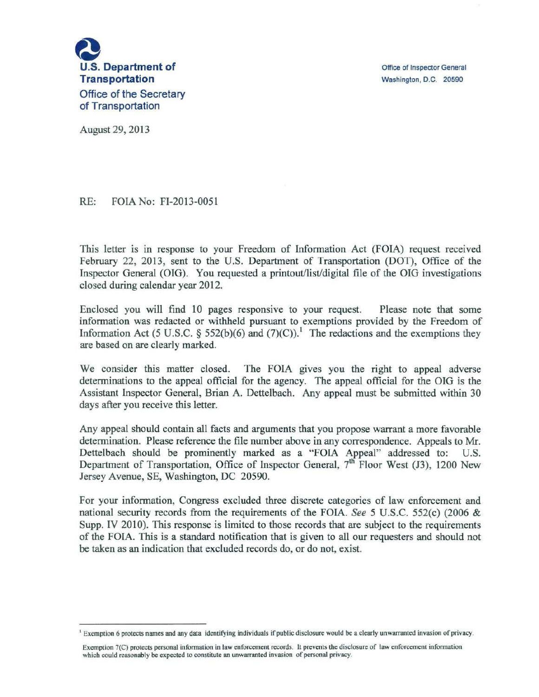

Office of Inspector General Washington, D.C. 20590

August 29, 2013

RE: FOIA No: FI-2013-0051

This letter is in response to your Freedom of Information Act (FOIA) request received February 22, 2013, sent to the U.S. Department of Transportation (DOT), Office of the Inspector General (OIG). You requested a printout/list/digital file of the OIG investigations closed during calendar year 2012.

Enclosed you will find 10 pages responsive to your request. Please note that some information was redacted or withheld pursuant to exemptions provided by the Freedom of Information Act (5 U.S.C. § 552(b)(6) and (7)(C)).<sup>1</sup> The redactions and the exemptions they are based on are clearly marked.

We consider this matter closed. The FOIA gives you the right to appeal adverse determinations to the appeal official for the agency. The appeal official for the OIG is the Assistant Inspector General, Brian A. Dettelbach. Any appeal must be submitted within 30 days after you receive this letter.

Any appeal should contain all facts and arguments that you propose warrant a more favorable determination. Please reference the file number above in any correspondence. Appeals to Mr. Dettelbach should be prominently marked as a "FOIA Appeal" addressed to: U.S. Department of Transportation, Office of Inspector General, 7<sup>th</sup> Floor West (J3), 1200 New Jersey Avenue, SE, Washington, DC 20590.

For your information, Congress excluded three discrete categories of law enforcement and national security records from the requirements of the FOIA. *See* 5 U.S.C. 552(c) (2006 & Supp. IV 2010). This response is limited to those records that are subject to the requirements of the FOIA. This is a standard notification that is given to all our requesters and should not be taken as an indication that excluded records do, or do not, exist.

<sup>&</sup>lt;sup>1</sup> Exemption 6 protects names and any data identifying individuals if public disclosure would be a clearly unwarranted invasion of privacy.

Exemption 7(C) protects personal information in law enforcement records. It prevents the disclosure of law enforcement information which could reasonably be expected to constitute an unwarranted invasion of personal privacy.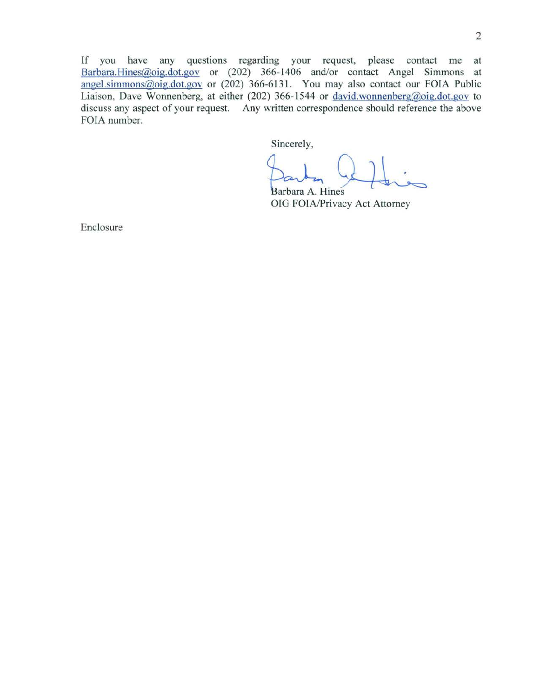If you have any questions regarding your request, please contact me at Barbara.Hines@oig.dot.gov or (202) 366-1406 and/or contact Angel Simmons at angel.simmons@oig.dot.gov or (202) 366-6131. You may also contact our FOIA Public Liaison, Dave Wonnenberg, at either (202) 366-1544 or david.wonnenberg@oig.dot.gov to discuss any aspect of your request. Any written correspondence should reference the above FOIA number.

Sincerely,

Barbara A. Hines OIG FOIA/Privacy Act Attorney

Enclosure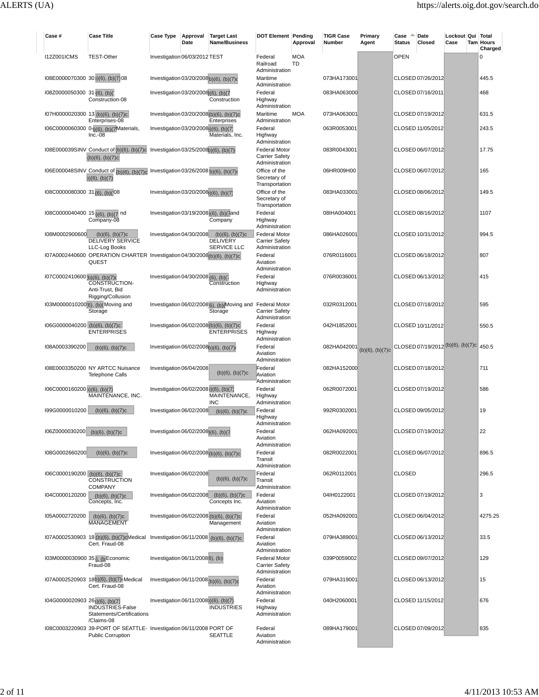| Case #                                           | <b>Case Title</b>                                                                                                                  | <b>Case Type</b>                                 | Approval<br>Date | <b>Target Last</b><br><b>Name/Business</b>                                        | <b>DOT Element Pending</b>                                      | Approval         | <b>TIGR Case</b><br>Number | Primary<br>Agent | Case<br><b>Status</b> | Date<br>Closed                          | Lockout Qui Total<br>Case | Tam Hours   | Charged |
|--------------------------------------------------|------------------------------------------------------------------------------------------------------------------------------------|--------------------------------------------------|------------------|-----------------------------------------------------------------------------------|-----------------------------------------------------------------|------------------|----------------------------|------------------|-----------------------|-----------------------------------------|---------------------------|-------------|---------|
| <b>I12Z001ICMS</b>                               | <b>TEST-Other</b>                                                                                                                  | Investigation 06/03/2012 TEST                    |                  |                                                                                   | Federal<br>Railroad<br>Administration                           | <b>MOA</b><br>TD |                            |                  | <b>OPEN</b>           |                                         |                           | $\Omega$    |         |
| I08E0000070300 30 <sub>1</sub> (6), (b)(7)08     |                                                                                                                                    | Investigation 03/20/2008b)(6), (b)(7)d           |                  |                                                                                   | Maritime<br>Administration                                      |                  | 073HA173001                |                  |                       | CLOSED 07/26/2012                       |                           | 445.5       |         |
| 108Z0000050300 31-(6), (b)(                      | Construction-08                                                                                                                    | Investigation 03/20/2008)(6), (b)(7              |                  | Construction                                                                      | Federal<br>Highway<br>Administration                            |                  | 083HA063000                |                  |                       | CLOSED 07/16/2011                       |                           | 468         |         |
| I07H0000020300 13 (b)(6), (b)(7)c                | Enterprises-08                                                                                                                     |                                                  |                  | Investigation 03/20/2008(b)(6), (b)(7)c<br>Enterprises                            | Maritime<br>Administration                                      | <b>MOA</b>       | 073HA063001                |                  |                       | CLOSED 07/19/2012                       |                           | 631.5       |         |
|                                                  | 106C0000060300 0-1)(6), (b)(7Materials,<br>$Inc.-08$                                                                               | Investigation 03/20/2008)(6), (b)(7)             |                  | Materials, Inc.                                                                   | Federal<br>Highway<br>Administration                            |                  | 063R0053001                |                  |                       | CLOSED 11/05/2012                       |                           | 243.5       |         |
|                                                  | 108E000039SINV Conduct of (b)(6), (b)(7)c<br>$(b)(6)$ , $(b)(7)c$                                                                  | Investigation 03/25/2008b)(6), (b)(7)            |                  |                                                                                   | <b>Federal Motor</b><br><b>Carrier Safety</b><br>Administration |                  | 083R0043001                |                  |                       | CLOSED 06/07/2012                       |                           | 17.75       |         |
|                                                  | I06E000048SINV_Conduct of (b)(6), (b)(7)c_Investigation 03/26/2008 b)(6), (b)(7)d<br>$b)$ (6), (b)(7)                              |                                                  |                  |                                                                                   | Office of the<br>Secretary of<br>Transportation                 |                  | 06HR009H00                 |                  |                       | CLOSED 06/07/2012                       |                           | 165         |         |
| I08C0000080300 31(6), (b)(08                     |                                                                                                                                    | Investigation 03/20/2008)(6), (b)(7)             |                  |                                                                                   | Office of the<br>Secretary of<br>Transportation                 |                  | 083HA033001                |                  |                       | CLOSED 08/06/2012                       |                           | 149.5       |         |
| 108C0000040400 15 <sub>1</sub> (6), (b)(7 nd     | Company-08                                                                                                                         |                                                  |                  | Investigation 03/19/2008)(6), (b)(7and<br>Company                                 | Federal<br>Highway<br>Administration                            |                  | 08IHA004001                |                  |                       | CLOSED 08/16/2012                       |                           | 1107        |         |
| I08M0002900600                                   | $(b)(6)$ , $(b)(7)c$<br><b>DELIVERY SERVICE</b><br>LLC-Log Books                                                                   | Investigation 04/30/2008                         |                  | $(b)(6)$ , $(b)(7)c$<br><b>DELIVERY</b><br>SERVICE LLC                            | <b>Federal Motor</b><br><b>Carrier Safety</b><br>Administration |                  | 086HA026001                |                  |                       | CLOSED 10/31/2012                       |                           | 994.5       |         |
|                                                  | I07A0002440600 OPERATION CHARTER Investigation 04/30/2008(b)(6), (b)(7)c<br>QUEST                                                  | Investigation 04/30/2008 (6), (b)(7              |                  |                                                                                   | Federal<br>Aviation<br>Administration<br>Federal                |                  | 076R0116001<br>076R0036001 |                  |                       | CLOSED 06/18/2012<br>CLOSED 06/13/2012  |                           | 807<br>415  |         |
| I07C0002410600 <sub>(b)</sub> (6), (b)(7)d       | <b>CONSTRUCTION-</b><br>Anti-Trust, Bid<br>Rigging/Collusion                                                                       |                                                  |                  | Construction                                                                      | Highway<br>Administration                                       |                  |                            |                  |                       |                                         |                           |             |         |
|                                                  | 103M0000010200(6), (b)(Moving and<br>Storage                                                                                       |                                                  |                  | Investigation 06/02/2008 <sub>[6]</sub> , (b) Moving and Federal Motor<br>Storage | <b>Carrier Safety</b><br>Administration                         |                  | 032R0312001                |                  |                       | CLOSED 07/18/2012                       |                           | 595         |         |
| I06G0000040200 (b)(6), (b)(7)c                   | <b>ENTERPRISES</b>                                                                                                                 |                                                  |                  | Investigation 06/02/2008(b)(6), (b)(7)c<br><b>ENTERPRISES</b>                     | Federal<br>Highway<br>Administration                            |                  | 042H1852001                |                  |                       | CLOSED 10/11/2012                       |                           | 550.5       |         |
| I08A0003390200                                   | $(b)(6)$ , $(b)(7)c$                                                                                                               | Investigation 06/02/2008b)(6), (b)(7)            |                  |                                                                                   | Federal<br>Aviation<br>Administration                           |                  | 082HA042001                | (b)(6), (b)(7)c  |                       | CLOSED 07/19/2012 (b)(6), (b)(7)c 450.5 |                           |             |         |
|                                                  | I08E0003350200 NY ARTCC Nuisance<br><b>Telephone Calls</b>                                                                         | Investigation 06/04/2008                         |                  | $(b)(6)$ , $(b)(7)c$                                                              | Federal<br>Aviation<br>Administration                           |                  | 082HA152000                |                  |                       | CLOSED 07/18/2012                       |                           | 711         |         |
| I06C0000160200 b)(6), (b)(7)                     | MAINTENANCE, INC.                                                                                                                  | Investigation 06/02/2008)(6), (b)(7)             |                  | MAINTENANCE,<br><b>INC</b>                                                        | Federal<br>Highway<br>Administration                            |                  | 062R0072001                |                  |                       | CLOSED 07/19/2012                       |                           | 586         |         |
| I99G0000010200                                   | $(b)(6)$ , $(b)(7)c$                                                                                                               | Investigation 06/02/2008                         |                  | $(b)(6)$ , $(b)(7)c$                                                              | Federal<br>Highway<br>Administration                            |                  | 992R0302001                |                  |                       | CLOSED 09/05/2012                       |                           | 19          |         |
| I06Z0000030200 (b)(6), (b)(7)c<br>I08G0002660200 |                                                                                                                                    | Investigation 06/02/2008 <sub>)</sub> (6), (b)(7 |                  | Investigation 06/02/2008 (b)(6), (b)(7)c                                          | Federal<br>Aviation<br>Administration<br>Federal                |                  | 062HA092001<br>082R0022001 |                  |                       | CLOSED 07/19/2012<br>CLOSED 06/07/2012  |                           | 22<br>896.5 |         |
| I06C0000190200 (b)(6), (b)(7)c                   | $(b)(6)$ , $(b)(7)c$                                                                                                               | Investigation 06/02/2008                         |                  |                                                                                   | Transit<br>Administration<br>Federal                            |                  | 062R0112001                |                  | <b>CLOSED</b>         |                                         |                           | 296.5       |         |
| I04C0000120200                                   | CONSTRUCTION<br><b>COMPANY</b><br>$(b)(6)$ , $(b)(7)c$                                                                             |                                                  |                  | $(b)(6)$ , $(b)(7)c$<br>Investigation 06/02/2008 (b)(6), (b)(7)c                  | Transit<br>Administration<br>Federal                            |                  | 04IH0122001                |                  |                       | CLOSED 07/19/2012                       |                           | 3           |         |
| I05A0002720200                                   | Concepts, Inc.<br>$(b)(6)$ , $(b)(7)c$                                                                                             |                                                  |                  | Concepts Inc.<br>Investigation 06/02/2008 (b)(6), (b)(7)c                         | Aviation<br>Administration<br>Federal                           |                  | 052HA092001                |                  |                       | CLOSED 06/04/2012                       |                           |             | 4275.25 |
|                                                  | <b>MANAGEMENT</b><br>107A0002530903 18 (b)(6), (b)(7)cMedical Investigation 06/11/2008 (b)(6), (b)(7)c                             |                                                  |                  | Management                                                                        | Aviation<br>Administration<br>Federal                           |                  | 079HA389001                |                  |                       | CLOSED 06/13/2012                       |                           | 33.5        |         |
| 103M0000030900 35;), (b Economic                 | Cert. Fraud-08                                                                                                                     | Investigation 06/11/20086), (b)                  |                  |                                                                                   | Aviation<br>Administration<br><b>Federal Motor</b>              |                  | 039P0059002                |                  |                       | CLOSED 09/07/2012                       |                           | 129         |         |
|                                                  | Fraud-08<br>I07A0002520903 18b)(6), (b)(7)+Medical                                                                                 | Investigation 06/11/2008 $ b)(6)$ , $(b)(7)c$    |                  |                                                                                   | <b>Carrier Safety</b><br>Administration<br>Federal              |                  | 079HA319001                |                  |                       | CLOSED 06/13/2012                       |                           | 15          |         |
| $104G0000020903261)(6)$ , (b)(7)                 | Cert. Fraud-08                                                                                                                     | Investigation 06/11/2008)(6), (b)(7)             |                  |                                                                                   | Aviation<br>Administration<br>Federal                           |                  | 040H2060001                |                  |                       | CLOSED 11/15/2012                       |                           | 676         |         |
|                                                  | INDUSTRIES-False<br>Statements/Certifications<br>/Claims-08<br>I08C0003220903 39-PORT OF SEATTLE- Investigation 06/11/2008 PORT OF |                                                  |                  | <b>INDUSTRIES</b>                                                                 | Highway<br>Administration<br>Federal                            |                  |                            |                  |                       |                                         |                           | 835         |         |
|                                                  | <b>Public Corruption</b>                                                                                                           |                                                  |                  | <b>SEATTLE</b>                                                                    | Aviation<br>Administration                                      |                  | 089HA179001                |                  |                       | CLOSED 07/09/2012                       |                           |             |         |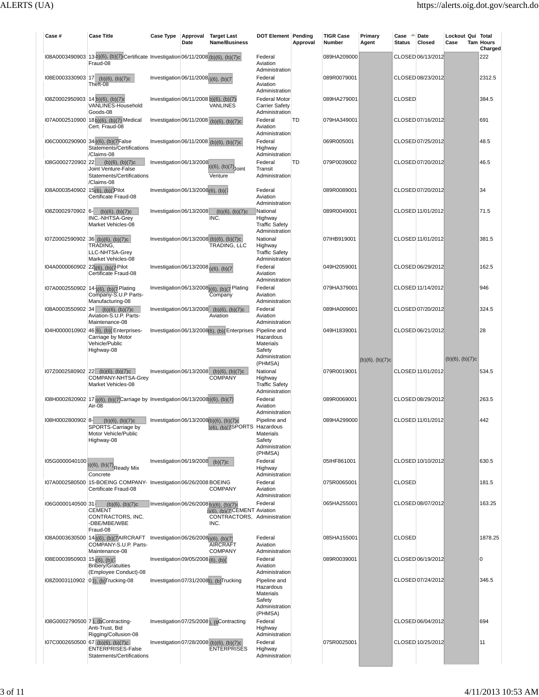| Case #                                    | <b>Case Title</b>                                                                                                                               | <b>Case Type</b>                                     | Approval<br>Date | <b>Target Last</b><br>Name/Business                                                  | <b>DOT Element Pending</b>                                                    | Approval | <b>TIGR Case</b><br>Number | Primary<br>Agent     | Case<br>Status | Date<br>Closed    | Lockout Qui Total<br>Case | <b>Tam Hours</b><br>Charged |
|-------------------------------------------|-------------------------------------------------------------------------------------------------------------------------------------------------|------------------------------------------------------|------------------|--------------------------------------------------------------------------------------|-------------------------------------------------------------------------------|----------|----------------------------|----------------------|----------------|-------------------|---------------------------|-----------------------------|
|                                           | 108A0003490903 13-b)(6), (b)(7) Certificate Investigation 06/11/2008 (b)(6), (b)(7)c<br>Fraud-08                                                |                                                      |                  |                                                                                      | Federal<br>Aviation<br>Administration                                         |          | 089HA209000                |                      |                | CLOSED 06/13/2012 |                           | 222                         |
| I08E0003330903 17                         | $(b)(6)$ , $(b)(7)c$<br>Theft-08                                                                                                                | Investigation $06/11/20081)(6)$ , (b)(7)             |                  |                                                                                      | Federal<br>Aviation<br>Administration                                         |          | 089R0079001                |                      |                | CLOSED 08/23/2012 |                           | 2312.5                      |
| $108Z0002950903$ 14 (b)(6), (b)(7)d       | VANLINES-Household<br>Goods-08                                                                                                                  | Investigation 06/11/2008 b)(6), (b)(7)               |                  | <b>VANLINES</b>                                                                      | <b>Federal Motor</b><br><b>Carrier Safety</b><br>Administration               |          | 089HA279001                |                      | <b>CLOSED</b>  |                   |                           | 384.5                       |
|                                           | I07A0002510900 18b)(6), (b)(7) Medical<br>Cert. Fraud-08                                                                                        |                                                      |                  | Investigation 06/11/2008 (b)(6), (b)(7)c                                             | Federal<br>Aviation<br>Administration                                         | TD       | 079HA349001                |                      |                | CLOSED 07/16/2012 |                           | 691                         |
|                                           | I06C0000290900 34 <sub>1</sub> (6), (b)(7 False<br>Statements/Certifications<br>/Claims-08                                                      |                                                      |                  | Investigation 06/11/2008 (b)(6), (b)(7)c                                             | Federal<br>Highway<br>Administration                                          |          | 069R005001                 |                      |                | CLOSED 07/25/2012 |                           | 48.5                        |
| I08G0002720902 22                         | $(b)(6)$ , $(b)(7)c$<br>Joint Venture-False<br>Statements/Certifications<br>/Claims-08                                                          | Investigation 06/13/2008                             |                  | $b)$ (6), (b)(7) Joint<br>Venture                                                    | Federal<br>Transit<br>Administration                                          | TD       | 079P0039002                |                      |                | CLOSED 07/20/2012 |                           | 46.5                        |
| 108A0003540902 15(6), (b)(7Pilot          | Certificate Fraud-08                                                                                                                            | Investigation 06/13/2008(6), (b)(7                   |                  |                                                                                      | Federal<br>Aviation<br>Administration                                         |          | 089R0089001                |                      |                | CLOSED 07/20/2012 |                           | 34                          |
| I08Z0002970902 6-                         | $(b)(6)$ , $(b)(7)c$<br>INC.-NHTSA-Grey<br>Market Vehicles-08                                                                                   | Investigation 06/13/2008                             |                  | $(b)(6)$ , $(b)(7)c$<br>INC.                                                         | National<br>Highway<br><b>Traffic Safety</b><br>Administration                |          | 089R0049001                |                      |                | CLOSED 11/01/2012 |                           | 71.5                        |
|                                           | 107Z0002590902 36 (b)(6), (b)(7)c<br>TRADING,<br>LLC-NHTSA-Grey<br>Market Vehicles-08                                                           |                                                      |                  | Investigation 06/13/2008 (b)(6), (b)(7)c<br>TRADING, LLC                             | National<br>Highway<br><b>Traffic Safety</b><br>Administration                |          | 07IHB919001                |                      |                | CLOSED 11/01/2012 |                           | 381.5                       |
| 104A0000060902 22(6), (b)(7-Pilot         | Certificate Fraud-08                                                                                                                            | Investigation $06/13/2008$ <sub>1</sub> )(6), (b)(7) |                  |                                                                                      | Federal<br>Aviation<br>Administration                                         |          | 049H2059001                |                      |                | CLOSED 06/29/2012 |                           | 162.5                       |
|                                           | 107A0002550902 14-1(6), (b)(7 Plating<br>Company-S.U.P Parts-<br>Manufacturing-08                                                               |                                                      |                  | Investigation 06/13/2008)(6), (b)(7 Plating<br>Company                               | Federal<br>Aviation<br>Administration                                         |          | 079HA379001                |                      |                | CLOSED 11/14/2012 |                           | 946                         |
| I08A0003550902 34                         | $(b)(6)$ , $(b)(7)c$<br>Aviation-S.U.P. Parts-<br>Maintenance-08                                                                                |                                                      |                  | Investigation 06/13/2008 (b)(6), (b)(7)c<br>Aviation                                 | Federal<br>Aviation<br>Administration                                         |          | 089HA009001                |                      |                | CLOSED 07/20/2012 |                           | 324.5                       |
|                                           | 104H0000010902 46 [6], (b) (Enterprises-<br>Carriage by Motor<br>Vehicle/Public<br>Highway-08                                                   |                                                      |                  | Investigation 06/13/2008(6), (b) (Enterprises Pipeline and                           | Hazardous<br>Materials<br>Safety<br>Administration                            |          | 049H1839001                |                      |                | CLOSED 06/21/2012 |                           | 28                          |
|                                           |                                                                                                                                                 |                                                      |                  |                                                                                      | (PHMSA)                                                                       |          |                            | $(b)(6)$ , $(b)(7)c$ |                |                   | $(b)(6)$ , $(b)(7)c$      |                             |
|                                           | 107Z0002580902 22 (b)(6), (b)(7)c<br>COMPANY-NHTSA-Grey<br>Market Vehicles-08                                                                   |                                                      |                  | Investigation 06/13/2008 (b)(6), (b)(7)c<br><b>COMPANY</b>                           | National<br>Highway<br><b>Traffic Safety</b><br>Administration                |          | 079R0019001                |                      |                | CLOSED 11/01/2012 |                           | 534.5                       |
|                                           | 108H0002820902 17 <sub>3</sub> )(6), (b)(7)Carriage by Investigation 06/13/2008)(6), (b)(7)<br>Air-08                                           |                                                      |                  |                                                                                      | Federal<br>Aviation<br>Administration                                         |          | 089R0069001                |                      |                | CLOSED 08/29/2012 |                           | 263.5                       |
| I08H0002800902 8-                         | $(b)(6)$ , $(b)(7)c$<br>SPORTS-Carriage by<br>Motor Vehicle/Public<br>Highway-08                                                                |                                                      |                  | Investigation 06/13/2008(b)(6), (b)(7)c<br>)(6), (b)(7SPORTS                         | Pipeline and<br>Hazardous<br>Materials<br>Safety<br>Administration<br>(PHMSA) |          | 089HA299000                |                      |                | CLOSED 11/01/2012 |                           | 442                         |
| I05G0000040100                            | $(a)(6), (b)(7)$ Ready Mix<br>Concrete                                                                                                          | Investigation $06/19/2008$ (b)(7)c                   |                  |                                                                                      | Federal<br>Highway<br>Administration                                          |          | 05IHF861001                |                      |                | CLOSED 10/10/2012 |                           | 630.5                       |
|                                           | I07A0002580500 15-BOEING COMPANY- Investigation 06/26/2008 BOEING                                                                               |                                                      |                  |                                                                                      |                                                                               |          |                            |                      |                |                   |                           | 181.5                       |
|                                           | Certificate Fraud-08                                                                                                                            |                                                      |                  | <b>COMPANY</b>                                                                       | Federal<br>Aviation<br>Administration                                         |          | 075R0065001                |                      | <b>CLOSED</b>  |                   |                           |                             |
| I06G0000140500 31-                        | $(b)(6)$ , $(b)(7)c$<br><b>CEMENT</b><br>CONTRACTORS, INC.<br>-DBE/MBE/WBE<br>Fraud-08                                                          | Investigation 06/26/2008 b)(6), (b)(7)               |                  | $(b)(6)$ , $(b)(7)$ CEMENT Aviation<br>CONTRACTORS, Administration<br>INC.           | Federal                                                                       |          | 065HA255001                |                      |                | CLOSED 08/07/2012 |                           | 163.25                      |
|                                           | I08A0003630500 14 <sub>1</sub> (6), (b)(7AIRCRAFT Investigation 06/26/2008 <sub>1</sub> )(6), (b)(7)<br>COMPANY-S.U.P. Parts-<br>Maintenance-08 |                                                      |                  | <b>AIRCRAFT</b><br><b>COMPANY</b>                                                    | Federal<br>Aviation<br>Administration                                         |          | 085HA155001                |                      | <b>CLOSED</b>  |                   |                           | 1878.25                     |
| I08E0003950903 15 <sub>1</sub> (6), (b)(7 | <b>Bribery/Gratuities</b><br>(Employee Conduct)-08                                                                                              | Investigation 09/05/2008 $(6)$ , (b)(                |                  |                                                                                      | Federal<br>Aviation<br>Administration                                         |          | 089R0039001                |                      |                | CLOSED 06/19/2012 |                           | 0                           |
|                                           | I08Z0003110902 03), (b)Trucking-08                                                                                                              |                                                      |                  | Investigation 07/31/20086), (b)Trucking                                              | Pipeline and<br>Hazardous<br>Materials<br>Safety<br>Administration<br>(PHMSA) |          |                            |                      |                | CLOSED 07/24/2012 |                           | 346.5                       |
|                                           | 108G0002790500 7), (bContracting-<br>Anti-Trust, Bid<br>Rigging/Collusion-08                                                                    |                                                      |                  | Investigation 07/25/2008). (bContracting<br>Investigation 07/28/2008 (b)(6), (b)(7)c | Federal<br>Highway<br>Administration                                          |          |                            |                      |                | CLOSED 06/04/2012 |                           | 694                         |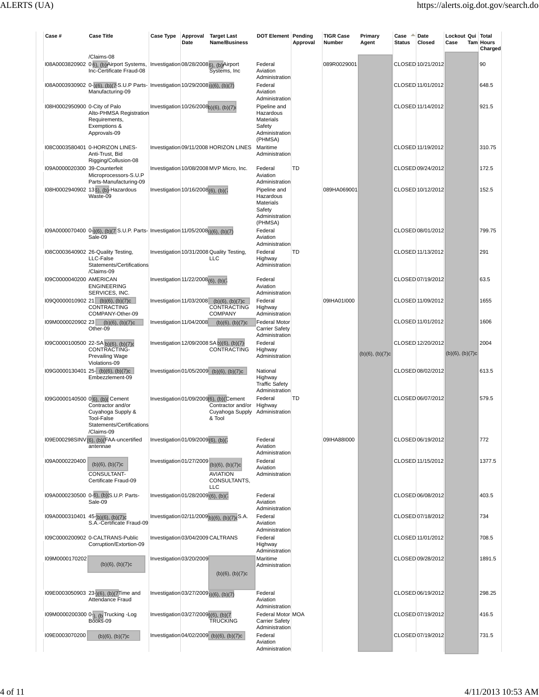| Case#                             | <b>Case Title</b>                                                                                                          | <b>Case Type</b>                                  | Approval<br>Date | <b>Target Last</b><br>Name/Business                                                                      | <b>DOT Element Pending</b>                                                                      | Approval | <b>TIGR Case</b><br>Number | Primary<br>Agent     | Case<br><b>Status</b> | Date<br>Closed    | Lockout Qui Total<br>Case | <b>Tam Hours</b><br>Charged |
|-----------------------------------|----------------------------------------------------------------------------------------------------------------------------|---------------------------------------------------|------------------|----------------------------------------------------------------------------------------------------------|-------------------------------------------------------------------------------------------------|----------|----------------------------|----------------------|-----------------------|-------------------|---------------------------|-----------------------------|
|                                   | /Claims-08<br>108A0003820902 06), (b) Airport Systems, Investigation 08/28/20086), (b) Airport<br>Inc-Certificate Fraud-08 |                                                   |                  | Systems, Inc.                                                                                            | Federal<br>Aviation<br>Administration                                                           |          | 089R0029001                |                      |                       | CLOSED 10/21/2012 |                           | 90                          |
|                                   | 108A0003930902 0-)(6), (b)(7-S.U.P Parts- Investigation 10/29/2008))(6), (b)(7)<br>Manufacturing-09                        |                                                   |                  |                                                                                                          | Federal<br>Aviation                                                                             |          |                            |                      |                       | CLOSED 11/01/2012 |                           | 648.5                       |
| I08H0002950900 0-City of Palo     | Alto-PHMSA Registration<br>Requirements,<br>Exemptions &<br>Approvals-09                                                   | Investigation 10/26/2008b)(6), (b)(7)             |                  |                                                                                                          | Administration<br>Pipeline and<br>Hazardous<br>Materials<br>Safety<br>Administration<br>(PHMSA) |          |                            |                      |                       | CLOSED 11/14/2012 |                           | 921.5                       |
|                                   | 108C0003580401 0-HORIZON LINES-<br>Anti-Trust, Bid<br>Rigging/Collusion-08                                                 |                                                   |                  | Investigation 09/11/2008 HORIZON LINES                                                                   | Maritime<br>Administration                                                                      |          |                            |                      |                       | CLOSED 11/19/2012 |                           | 310.75                      |
| 109A0000020300 39-Counterfeit     | Microprocessors-S.U.P<br>Parts-Manufacturing-09                                                                            |                                                   |                  | Investigation 10/08/2008 MVP Micro, Inc.                                                                 | Federal<br>Aviation<br>Administration                                                           | TD       |                            |                      |                       | CLOSED 09/24/2012 |                           | 172.5                       |
|                                   | I08H0002940902 136), (b)-Hazardous<br>Waste-09                                                                             | Investigation 10/16/2008(6), (b)(7                |                  |                                                                                                          | Pipeline and<br>Hazardous<br>Materials<br>Safety<br>Administration<br>(PHMSA)                   |          | 089HA069001                |                      |                       | CLOSED 10/12/2012 |                           | 152.5                       |
|                                   | 109A0000070400 0-1(6), (b)(7 S.U.P. Parts- Investigation 11/05/2008 <sub>0</sub> )(6), (b)(7)<br>Sale-09                   |                                                   |                  |                                                                                                          | Federal<br>Aviation<br>Administration                                                           |          |                            |                      |                       | CLOSED 08/01/2012 |                           | 799.75                      |
|                                   | 108C0003640902 26-Quality Testing,<br>LLC-False<br>Statements/Certifications<br>/Claims-09                                 |                                                   |                  | Investigation 10/31/2008 Quality Testing,<br><b>LLC</b>                                                  | Federal<br>Highway<br>Administration                                                            | TD       |                            |                      |                       | CLOSED 11/13/2012 |                           | 291                         |
| 109C0000040200 AMERICAN           | <b>ENGINEERING</b><br>SERVICES, INC.                                                                                       | Investigation 11/22/2008 <sub>(6)</sub> , (b)(7   |                  |                                                                                                          | Federal<br>Aviation<br>Administration                                                           |          |                            |                      |                       | CLOSED 07/19/2012 |                           | 63.5                        |
|                                   | 109Q0000010902 21 (b)(6), (b)(7)c<br>CONTRACTING<br>COMPANY-Other-09                                                       |                                                   |                  | Investigation 11/03/2008 (b)(6), (b)(7)c<br>CONTRACTING<br><b>COMPANY</b>                                | Federal<br>Highway<br>Administration                                                            |          | 09IHA01I000                |                      |                       | CLOSED 11/09/2012 |                           | 1655                        |
| I09M0000020902 23                 | $(b)(6)$ , $(b)(7)c$<br>Other-09                                                                                           | Investigation 11/04/2008                          |                  | $(b)(6)$ , $(b)(7)c$                                                                                     | <b>Federal Motor</b><br>Carrier Safety<br>Administration                                        |          |                            |                      |                       | CLOSED 11/01/2012 |                           | 1606                        |
|                                   | 109C0000100500 22-SA b)(6), (b)(7)d<br>CONTRACTING-<br>Prevailing Wage<br>Violations-09                                    |                                                   |                  | Investigation 12/09/2008 SA b)(6), (b)(7)<br>CONTRACTING                                                 | Federal<br>Highway<br>Administration                                                            |          |                            | $(b)(6)$ , $(b)(7)c$ |                       | CLOSED 12/20/2012 | $(b)(6)$ , $(b)(7)c$      | 2004                        |
|                                   | 109G0000130401 25- (b)(6), (b)(7)c<br>Embezzlement-09                                                                      |                                                   |                  | Investigation 01/05/2009 (b)(6), (b)(7)c                                                                 | National<br>Highway<br><b>Traffic Safety</b><br>Administration                                  |          |                            |                      |                       | CLOSED 08/02/2012 |                           | 613.5                       |
| 109G0000140500 0[6], (b)( Cement  | Contractor and/or<br>Cuyahoga Supply &<br><b>Tool-False</b><br>Statements/Certifications                                   |                                                   |                  | Investigation 01/09/2009(6), (b)(Cement<br>Contractor and/or<br>Cuyahoga Supply Administration<br>& Tool | Federal<br>Highway                                                                              | TD       |                            |                      |                       | CLOSED 06/07/2012 |                           | 579.5                       |
|                                   | /Claims-09<br>I09E000298SINV(6), (b)(FAA-uncertified<br>antennae                                                           | Investigation 01/09/2009 (6), (b)(7               |                  |                                                                                                          | Federal<br>Aviation<br>Administration                                                           |          | 09IHA88I000                |                      |                       | CLOSED 06/19/2012 |                           | 772                         |
| I09A0000220400                    | $(b)(6)$ , $(b)(7)c$<br>CONSULTANT-<br>Certificate Fraud-09                                                                | Investigation 01/27/2009                          |                  | $(b)(6)$ , $(b)(7)c$<br><b>AVIATION</b><br>CONSULTANTS,<br><b>LLC</b>                                    | Federal<br>Aviation<br>Administration                                                           |          |                            |                      |                       | CLOSED 11/15/2012 |                           | 1377.5                      |
|                                   | I09A0000230500 0-6), (b)(S.U.P. Parts-<br>Sale-09                                                                          | Investigation 01/28/2009 (6), (b)(7               |                  |                                                                                                          | Federal<br>Aviation<br>Administration                                                           |          |                            |                      |                       | CLOSED 06/08/2012 |                           | 403.5                       |
| 109A0000310401 45-(b)(6), (b)(7)c | S.A.-Certificate Fraud-09                                                                                                  |                                                   |                  | Investigation 02/11/2009 b)(6), (b)(7) cS.A.                                                             | Federal<br>Aviation<br>Administration                                                           |          |                            |                      |                       | CLOSED 07/18/2012 |                           | 734                         |
|                                   | 109C0000200902 0-CALTRANS-Public<br>Corruption/Extortion-09                                                                |                                                   |                  | Investigation 03/04/2009 CALTRANS                                                                        | Federal<br>Highway<br>Administration                                                            |          |                            |                      |                       | CLOSED 11/01/2012 |                           | 708.5                       |
| I09M0000170202                    | $(b)(6)$ , $(b)(7)c$                                                                                                       | Investigation 03/20/2009                          |                  | $(b)(6)$ , $(b)(7)c$                                                                                     | Maritime<br>Administration                                                                      |          |                            |                      |                       | CLOSED 09/28/2012 |                           | 1891.5                      |
|                                   | 109E0003050903 23-1(6), (b)(7Time and<br><b>Attendance Fraud</b>                                                           | Investigation 03/27/2009 <sub>3</sub> (6), (b)(7) |                  |                                                                                                          | Federal<br>Aviation                                                                             |          |                            |                      |                       | CLOSED 06/19/2012 |                           | 298.25                      |
|                                   | 109M0000200300 0-1), (b Trucking - Log<br>Books-09                                                                         | Investigation 03/27/2009 <sub>0</sub> (6), (b)(7  |                  | <b>TRUCKING</b>                                                                                          | Administration<br>Federal Motor MOA<br><b>Carrier Safety</b>                                    |          |                            |                      |                       | CLOSED 07/19/2012 |                           | 416.5                       |
| I09E0003070200                    | $(b)(6)$ , $(b)(7)c$                                                                                                       |                                                   |                  | Investigation 04/02/2009 (b)(6), (b)(7)c                                                                 | Administration<br>Federal<br>Aviation<br>Administration                                         |          |                            |                      |                       | CLOSED 07/19/2012 |                           | 731.5                       |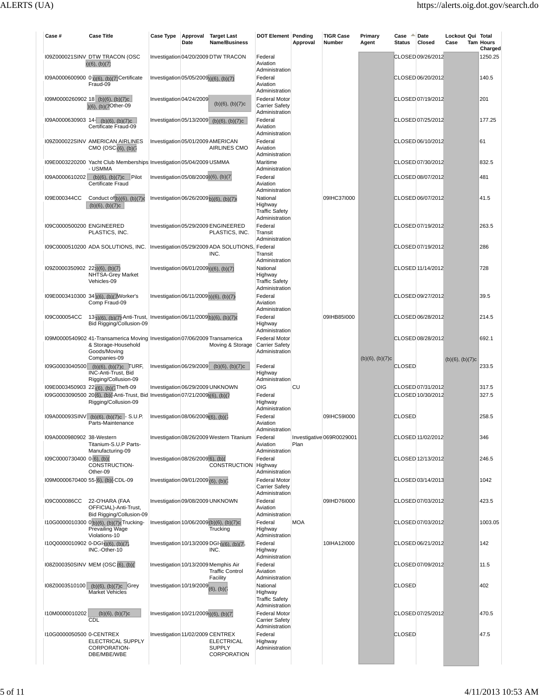|                                                |                                                                                                                                                             | Case Type                              | Date | Approval Target Last<br><b>Name/Business</b>                               | <b>DOT Element Pending</b>                                                        | Approval   | <b>TIGR Case</b><br>Number | Primary<br>Agent     | Case<br><b>Status</b> | Date<br>Closed                         | Lockout Qui Total<br>Case | <b>Tam Hours</b><br>Charged |
|------------------------------------------------|-------------------------------------------------------------------------------------------------------------------------------------------------------------|----------------------------------------|------|----------------------------------------------------------------------------|-----------------------------------------------------------------------------------|------------|----------------------------|----------------------|-----------------------|----------------------------------------|---------------------------|-----------------------------|
|                                                | 109Z000021SINV DTW TRACON (OSC<br>b)(6), (b)(7)                                                                                                             |                                        |      | Investigation 04/20/2009 DTW TRACON                                        | Federal<br>Aviation<br>Administration                                             |            |                            |                      |                       | CLOSED 09/26/2012                      |                           | 1250.25                     |
|                                                | I09A0000600900 0)(6), (b)(7) Certificate<br>Fraud-09                                                                                                        | Investigation 05/05/2009b)(6), (b)(7)  |      |                                                                            | Federal<br>Aviation<br>Administration                                             |            |                            |                      |                       | CLOSED 06/20/2012                      |                           | 140.5                       |
|                                                | I09M0000260902_18 (b)(6), (b)(7)c<br>)(6), (b)(7Other-09                                                                                                    | Investigation 04/24/2009               |      | $(b)(6)$ , $(b)(7)c$                                                       | <b>Federal Motor</b><br><b>Carrier Safety</b><br>Administration                   |            |                            |                      |                       | CLOSED 07/19/2012                      |                           | 201                         |
|                                                | $109A0000630903$ 14- (b)(6), (b)(7)c<br>Certificate Fraud-09                                                                                                |                                        |      | Investigation 05/13/2009 (b)(6), (b)(7)c                                   | Federal<br>Aviation<br>Administration                                             |            |                            |                      |                       | CLOSED 07/25/2012                      |                           | 177.25                      |
|                                                | 109Z000022SINV AMERICAN AIRLINES<br>CMO (OSC(6), (b)(7))                                                                                                    | Investigation 05/01/2009 AMERICAN      |      | AIRLINES CMO                                                               | Federal<br>Aviation<br>Administration                                             |            |                            |                      |                       | CLOSED 06/10/2012                      |                           | 61                          |
|                                                | I09E0003220200 Yacht Club Memberships Investigation 05/04/2009 USMMA<br>- USMMA                                                                             |                                        |      |                                                                            | Maritime<br>Administration                                                        |            |                            |                      |                       | CLOSED 07/30/2012                      |                           | 832.5                       |
| I09A0000610202                                 | $(b)(6)$ , $(b)(7)c$ Pilot<br>Certificate Fraud                                                                                                             | Investigation 05/08/2009)(6), (b)(7)   |      |                                                                            | Federal<br>Aviation<br>Administration                                             |            |                            |                      |                       | CLOSED 08/07/2012                      |                           | 481                         |
| I09E000344CC                                   | Conduct $of(b)(6)$ , $(b)(7)c$<br>$(b)(6)$ , $(b)(7)c$                                                                                                      | Investigation 06/26/2009b)(6), (b)(7)d |      |                                                                            | National<br>Highway<br><b>Traffic Safety</b><br>Administration                    |            | 09IHC37I000                |                      |                       | CLOSED 06/07/2012                      |                           | 41.5                        |
| I09C0000500200 ENGINEERED                      | PLASTICS, INC.                                                                                                                                              |                                        |      | Investigation 05/29/2009 ENGINEERED<br>PLASTICS, INC.                      | Federal<br>Transit<br>Administration                                              |            |                            |                      |                       | CLOSED 07/19/2012                      |                           | 263.5                       |
|                                                | 109C0000510200 ADA SOLUTIONS, INC.   Investigation 05/29/2009 ADA SOLUTIONS, Federal                                                                        |                                        |      | INC.                                                                       | Transit<br>Administration                                                         |            |                            |                      |                       | CLOSED 07/19/2012                      |                           | 286                         |
| (09Z0000350902 22)(6), (b)(7)                  | NHTSA-Grey Market<br>Vehicles-09                                                                                                                            | Investigation 06/01/2009;)(6), (b)(7)  |      |                                                                            | National<br>Highway<br><b>Traffic Safety</b><br>Administration                    |            |                            |                      |                       | CLOSED 11/14/2012                      |                           | 728                         |
|                                                | I09E0003410300 34)(6), (b)(7Worker's<br>Comp Fraud-09                                                                                                       | Investigation 06/11/2009b)(6), (b)(7)  |      |                                                                            | Federal<br>Aviation<br>Administration                                             |            |                            |                      |                       | CLOSED 09/27/2012                      |                           | 39.5                        |
| I09C000054CC                                   | 13 <sub>2</sub> )(6), (b)(7)-Anti-Trust, Investigation 06/11/2009(b)(6), (b)(7)d<br>Bid Rigging/Collusion-09                                                |                                        |      |                                                                            | Federal<br>Highway<br>Administration                                              |            | 09IHB85I000                |                      |                       | CLOSED 06/28/2012                      |                           | 214.5                       |
|                                                | I09M0000540902 41-Transamerica Moving Investigation 07/06/2009 Transamerica<br>& Storage-Household<br>Goods/Moving<br>Companies-09                          |                                        |      | Moving & Storage                                                           | <b>Federal Motor</b><br>Carrier Safety<br>Administration                          |            |                            | $(b)(6)$ , $(b)(7)c$ |                       | CLOSED 08/28/2012                      |                           | 692.1                       |
| I09G0003040500                                 | $(b)(6)$ , $(b)(7)c$ TURF,<br>INC-Anti-Trust, Bid<br>Rigging/Collusion-09                                                                                   |                                        |      | Investigation $06/29/2009$ (b)(6), (b)(7)c                                 | Federal<br>Highway<br>Administration                                              |            |                            |                      | <b>CLOSED</b>         |                                        | $(b)(6)$ , $(b)(7)c$      | 233.5                       |
|                                                | I09E0003450903 22 <sub>1</sub> (6), (b)(7Theft-09<br>109G0003090500 20(6), (b)(-Anti-Trust, Bid Investigation 07/21/2009)(6), (b)(7<br>Rigging/Collusion-09 |                                        |      | Investigation 06/29/2009 UNKNOWN                                           | OIG<br>Federal<br>Highway                                                         | CU         |                            |                      |                       | CLOSED 07/31/2012<br>CLOSED 10/30/2012 |                           | 317.5<br>327.5              |
|                                                | 109A000093SINV (b)(6), (b)(7)c - S.U.P.<br>Parts-Maintenance                                                                                                | Investigation 08/06/2009(6), (b)(7     |      |                                                                            | Administration<br>Federal<br>Aviation                                             |            | 09IHC59I000                |                      | <b>CLOSED</b>         |                                        |                           | 258.5                       |
| I09A0000980902 38-Western                      | Titanium-S.U.P Parts-                                                                                                                                       |                                        |      | Investigation 08/26/2009 Western Titanium                                  | Administration<br>Federal<br>Aviation                                             | Plan       | Investigative 069R0029001  |                      |                       | CLOSED 11/02/2012                      |                           | 346                         |
| I09C0000730400 0-(6), (b)(                     | Manufacturing-09<br>CONSTRUCTION-                                                                                                                           | Investigation 08/26/2009[6], (b)(      |      | CONSTRUCTION Highway                                                       | Administration<br>Federal                                                         |            |                            |                      |                       | CLOSED 12/13/2012                      |                           | 246.5                       |
|                                                | Other-09<br>I09M0000670400 55-[6], (b)(-CDL-09                                                                                                              | Investigation 09/01/2009 (6), (b)(7    |      |                                                                            | Administration<br><b>Federal Motor</b><br><b>Carrier Safety</b><br>Administration |            |                            |                      |                       | CLOSED 03/14/2013                      |                           | 1042                        |
| I09C000086CC                                   | 22-O'HARA (FAA<br>OFFICIAL)-Anti-Trust,<br>Bid Rigging/Collusion-09                                                                                         | Investigation 09/08/2009 UNKNOWN       |      |                                                                            | Federal<br>Aviation<br>Administration                                             |            | 09IHD76I000                |                      |                       | CLOSED 07/03/2012                      |                           | 423.5                       |
|                                                | I10G0000010300 0'b)(6), (b)(7)cTrucking-<br>Prevailing Wage<br>Violations-10                                                                                |                                        |      | Investigation 10/06/2009 (b)(6), (b)(7)c<br>Trucking                       | Federal<br>Highway<br>Administration                                              | <b>MOA</b> |                            |                      |                       | CLOSED 07/03/2012                      |                           | 1003.05                     |
| I10Q0000010902 0-DGI <sub>2</sub> )(6), (b)(7) | INC.-Other-10                                                                                                                                               |                                        |      | Investigation 10/13/2009 DGI-1(6), (b)(7)<br>INC.                          | Federal<br>Highway<br>Administration                                              |            | 10IHA12I000                |                      |                       | CLOSED 06/21/2012                      |                           | 142                         |
|                                                | 108Z000350SINV MEM (OSC (6), (b)(                                                                                                                           |                                        |      | Investigation 10/13/2009 Memphis Air<br><b>Traffic Control</b><br>Facility | Federal<br>Aviation<br>Administration                                             |            |                            |                      |                       | CLOSED 07/09/2012                      |                           | 11.5                        |
| I08Z0003510100                                 | $(b)(6)$ , $(b)(7)c$ Grey<br><b>Market Vehicles</b>                                                                                                         | Investigation 10/19/2009 $(6)$ , (b)(  |      |                                                                            | National<br>Highway<br><b>Traffic Safety</b><br>Administration                    |            |                            |                      | <b>CLOSED</b>         |                                        |                           | 402                         |
| I10M0000010202                                 | $(b)(6)$ , $(b)(7)c$<br>CDL                                                                                                                                 | Investigation 10/21/2009;)(6), (b)(7)  |      |                                                                            | <b>Federal Motor</b><br><b>Carrier Safety</b><br>Administration                   |            |                            |                      |                       | CLOSED 07/25/2012                      |                           | 470.5                       |
|                                                | I10G0000050500 0-CENTREX                                                                                                                                    | Investigation 11/02/2009 CENTREX       |      | <b>ELECTRICAL</b>                                                          | Federal                                                                           |            |                            |                      | <b>CLOSED</b>         |                                        |                           | 47.5                        |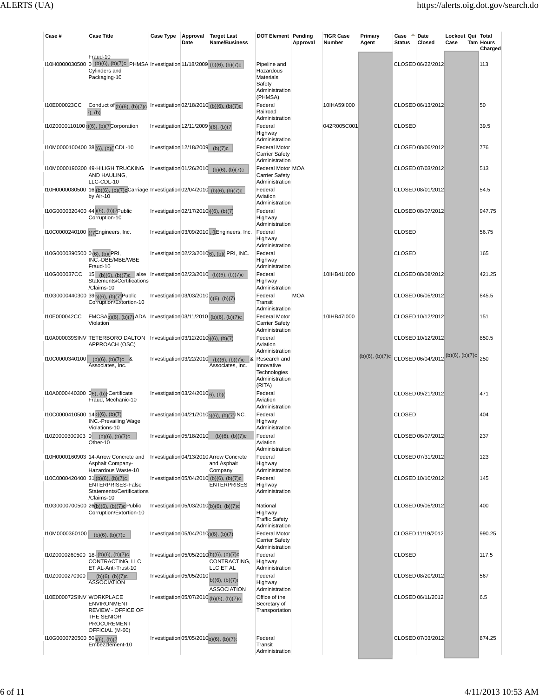| Case #                                    | <b>Case Title</b>                                                                                                            | Case Type                                           | Date | Approval Target Last<br><b>Name/Business</b>                              | <b>DOT Element Pending</b>                                          | Approval   | <b>TIGR Case</b><br>Number | Primary<br>Agent | Case<br><b>Status</b> | Date<br>Closed    | Lockout Qui Total<br>Case                             | <b>Tam Hours</b><br>Charged |
|-------------------------------------------|------------------------------------------------------------------------------------------------------------------------------|-----------------------------------------------------|------|---------------------------------------------------------------------------|---------------------------------------------------------------------|------------|----------------------------|------------------|-----------------------|-------------------|-------------------------------------------------------|-----------------------------|
|                                           | Fraud-10<br>I10H0000030500 0 (b)(6), (b)(7)c PHMSA Investigation 11/18/2009 (b)(6), (b)(7)c<br>Cylinders and<br>Packaging-10 |                                                     |      |                                                                           | Pipeline and<br>Hazardous<br>Materials                              |            |                            |                  |                       | CLOSED 06/22/2012 |                                                       | 113                         |
|                                           |                                                                                                                              |                                                     |      |                                                                           | Safety<br>Administration<br>(PHMSA)                                 |            |                            |                  |                       |                   |                                                       |                             |
| I10E000023CC                              | Conduct of $(b)(6)$ , $(b)(7)$ o<br>$5)$ , (b)                                                                               |                                                     |      | Investigation 02/18/2010 (b)(6), (b)(7)c                                  | Federal<br>Railroad<br>Administration                               |            | 10IHA59I000                |                  |                       | CLOSED 06/13/2012 |                                                       | 50                          |
|                                           | I10Z0000110100 <sub>1</sub> )(6), (b)(7)Corporation                                                                          | Investigation 12/11/2009 (6), (b)(7                 |      |                                                                           | Federal<br>Highway                                                  |            | 042R005C001                |                  | <b>CLOSED</b>         |                   |                                                       | 39.5                        |
|                                           | I10M0000100400 38 (6), (b)(1CDL-10                                                                                           | Investigation $12/18/2009$ (b)(7)c                  |      |                                                                           | Administration<br><b>Federal Motor</b><br><b>Carrier Safety</b>     |            |                            |                  |                       | CLOSED 08/06/2012 |                                                       | 776                         |
|                                           | I10M0000190300 49-HILIGH TRUCKING<br>AND HAULING,                                                                            |                                                     |      | Investigation 01/26/2010 (b)(6), (b)(7)c                                  | Administration<br>Federal Motor MOA<br><b>Carrier Safety</b>        |            |                            |                  |                       | CLOSED 07/03/2012 |                                                       | 513                         |
|                                           | LLC-CDL-10<br>I10H0000080500 16 (b)(6), (b)(7)cCarriage Investigation 02/04/2010 (b)(6), (b)(7)c<br>by Air-10                |                                                     |      |                                                                           | Administration<br>Federal<br>Aviation                               |            |                            |                  |                       | CLOSED 08/01/2012 |                                                       | 54.5                        |
|                                           | I10G0000320400 44 (6), (b)(7Public<br>Corruption-10                                                                          | Investigation 02/17/2010 <sub>0</sub> )(6), (b)(7)  |      |                                                                           | Administration<br>Federal<br>Highway                                |            |                            |                  |                       | CLOSED 08/07/2012 |                                                       | 947.75                      |
|                                           | 110C0000240100 17Engineers, Inc.                                                                                             |                                                     |      | Investigation 03/09/2010, (tEngineers, Inc.                               | Administration<br>Federal<br>Highway                                |            |                            |                  | <b>CLOSED</b>         |                   |                                                       | 56.75                       |
| I10G0000390500 0(6), (b)(PRI,             | INC.-DBE/MBE/WBE                                                                                                             |                                                     |      | Investigation 02/23/2010(6), (b)(PRI, INC.                                | Administration<br>Federal<br>Highway                                |            |                            |                  | <b>CLOSED</b>         |                   |                                                       | 165                         |
| I10G000037CC                              | Fraud-10<br>15 (b)(6), (b)(7)c alse Investigation 02/23/2010 (b)(6), (b)(7)c<br>Statements/Certifications                    |                                                     |      |                                                                           | Administration<br>Federal<br>Highway                                |            | 10IHB41I000                |                  |                       | CLOSED 08/08/2012 |                                                       | 421.25                      |
|                                           | /Claims-10<br>110G0000440300 39 <sub>2</sub> (6), (b)(7) <sup>Public</sup><br>Corruption/Extortion-10                        | Investigation 03/03/2010 <sub>0</sub> (6), (b)(7)   |      |                                                                           | Administration<br>Federal<br>Transit                                | <b>MOA</b> |                            |                  |                       | CLOSED 06/05/2012 |                                                       | 845.5                       |
| I10E000042CC                              | FMCSA <sub>2</sub> )(6), (b)(7) ADA<br>Violation                                                                             |                                                     |      | Investigation 03/11/2010 (b)(6), (b)(7)c                                  | Administration<br><b>Federal Motor</b><br><b>Carrier Safety</b>     |            | 10IHB47I000                |                  |                       | CLOSED 10/12/2012 |                                                       | 151                         |
|                                           | I10A000039SINV TETERBORO DALTON<br>APPROACH (OSC)                                                                            | Investigation 03/12/2010 <sub>0</sub> )(6), (b)(7)  |      |                                                                           | Administration<br>Federal<br>Aviation                               |            |                            |                  |                       | CLOSED 10/12/2012 |                                                       | 850.5                       |
| I10C0000340100                            | $(b)(6)$ , $(b)(7)c$ &<br>Associates, Inc.                                                                                   |                                                     |      | Investigation 03/22/2010 (b)(6), (b)(7)c &<br>Associates, Inc.            | Administration<br>Research and<br>Innovative<br><b>Technologies</b> |            |                            |                  |                       |                   | (b)(6), (b)(7)c CLOSED 06/04/2012 (b)(6), (b)(7)c 250 |                             |
|                                           | I10A0000440300 06), (b)(-Certificate<br>Fraud. Mechanic-10                                                                   | Investigation 03/24/2010 <sup>'</sup> 6), (b)(      |      |                                                                           | Administration<br>(RITA)<br>Federal<br>Aviation                     |            |                            |                  |                       | CLOSED 09/21/2012 |                                                       | 471                         |
| $110C0000410500$ $142$ )(6), (b)(7)       | <b>INC.-Prevailing Wage</b>                                                                                                  |                                                     |      | Investigation 04/21/2010 <sub>0</sub> )(6), (b)(7) INC.                   | Administration<br>Federal<br>Highway                                |            |                            |                  | <b>CLOSED</b>         |                   |                                                       | 404                         |
| I10Z0000300903 0                          | Violations-10<br>$(b)(6)$ , $(b)(7)c$<br>Other-10                                                                            |                                                     |      | Investigation 05/18/2010 (b)(6), (b)(7)c                                  | Administration<br>Federal<br>Aviation                               |            |                            |                  |                       | CLOSED 06/07/2012 |                                                       | 237                         |
|                                           | I10H0000160903 14-Arrow Concrete and<br>Asphalt Company-                                                                     |                                                     |      | Investigation 04/13/2010 Arrow Concrete<br>and Asphalt                    | Administration<br>Federal<br>Highway                                |            |                            |                  |                       | CLOSED 07/31/2012 |                                                       | 123                         |
|                                           | Hazardous Waste-10<br>$110C0000420400$ 31 (b)(6), (b)(7)c<br>ENTERPRISES-False<br>Statements/Certifications                  |                                                     |      | Company<br>Investigation 05/04/2010 (b)(6), (b)(7)c<br><b>ENTERPRISES</b> | Administration<br>Federal<br>Highway<br>Administration              |            |                            |                  |                       | CLOSED 10/10/2012 |                                                       | 145                         |
|                                           | /Claims-10<br>I10G0000700500 26(b)(6), (b)(7)c Public<br>Corruption/Extortion-10                                             |                                                     |      | Investigation 05/03/2010(b)(6), (b)(7)c                                   | National<br>Highway<br><b>Traffic Safety</b>                        |            |                            |                  |                       | CLOSED 09/05/2012 |                                                       | 400                         |
| I10M0000360100                            | $(b)(6)$ , $(b)(7)c$                                                                                                         | Investigation 05/04/2010(6), (b)(7)                 |      |                                                                           | Administration<br><b>Federal Motor</b><br><b>Carrier Safety</b>     |            |                            |                  |                       | CLOSED 11/19/2012 |                                                       | 990.25                      |
|                                           | I10Z0000260500 18- (b)(6), (b)(7)c<br>CONTRACTING, LLC                                                                       |                                                     |      | Investigation 05/05/2010(b)(6), (b)(7)c<br>CONTRACTING,                   | Administration<br>Federal<br>Highway                                |            |                            |                  | <b>CLOSED</b>         |                   |                                                       | 117.5                       |
| I10Z0000270900                            | ET AL-Anti-Trust-10<br>$(b)(6)$ , $(b)(7)c$<br><b>ASSOCIATION</b>                                                            | Investigation 05/05/2010                            |      | LLC ET AL<br>$b)(6)$ , $(b)(7)$                                           | Administration<br>Federal<br>Highway                                |            |                            |                  |                       | CLOSED 08/20/2012 |                                                       | 567                         |
| I10E000072SINV WORKPLACE                  | <b>ENVIRONMENT</b><br><b>REVIEW - OFFICE OF</b><br>THE SENIOR                                                                |                                                     |      | <b>ASSOCIATION</b><br>Investigation 05/07/2010 (b)(6), (b)(7)c            | Administration<br>Office of the<br>Secretary of<br>Transportation   |            |                            |                  |                       | CLOSED 06/11/2012 |                                                       | 6.5                         |
| I10G0000720500 50 <sub>1(6)</sub> , (b)(7 | <b>PROCUREMENT</b><br>OFFICIAL (M-60)<br>Embezzlement-10                                                                     | Investigation 05/05/2010 <sub>b</sub> )(6), (b)(7)d |      |                                                                           | Federal<br>Transit<br>Administration                                |            |                            |                  |                       | CLOSED 07/03/2012 |                                                       | 874.25                      |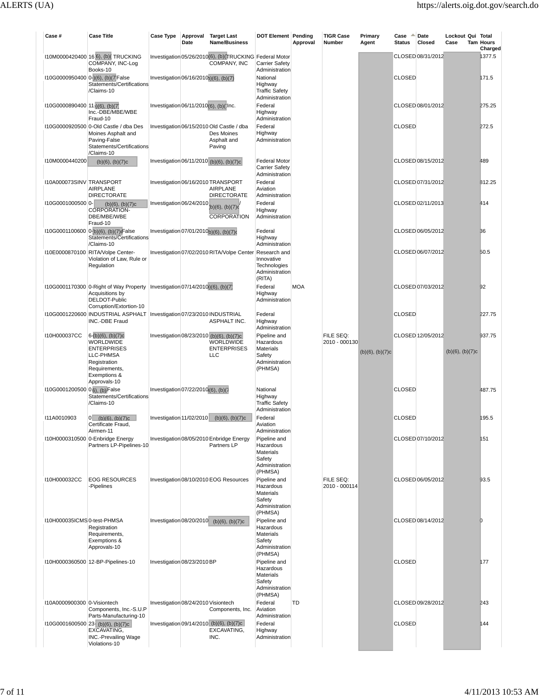| Case #                                     | <b>Case Title</b>                                                                                                                            | <b>Case Type</b>                      | Date | Approval Target Last<br>Name/Business                                                            | <b>DOT Element Pending</b>                                                    | Approval   | <b>TIGR Case</b><br>Number | Primary<br>Agent     | Case<br>Status | Date<br>Closed    | Lockout Qui Total<br>Case | <b>Tam Hours</b><br>Charged |
|--------------------------------------------|----------------------------------------------------------------------------------------------------------------------------------------------|---------------------------------------|------|--------------------------------------------------------------------------------------------------|-------------------------------------------------------------------------------|------------|----------------------------|----------------------|----------------|-------------------|---------------------------|-----------------------------|
|                                            | 110M0000420400 16 6), (b)(TRUCKING<br>COMPANY, INC-Log<br>Books-10                                                                           |                                       |      | Investigation 05/26/2010(6), (b)(TRUCKING Federal Motor<br>COMPANY, INC                          | <b>Carrier Safety</b><br>Administration                                       |            |                            |                      |                | CLOSED 08/31/2012 |                           | 1377.5                      |
|                                            | I10G0000950400 0-)(6), (b)(7 False<br>Statements/Certifications<br>/Claims-10                                                                | Investigation 06/16/2010b)(6), (b)(7) |      |                                                                                                  | National<br>Highway<br><b>Traffic Safety</b><br>Administration                |            |                            |                      | <b>CLOSED</b>  |                   |                           | 171.5                       |
| I10G0000890400 11 <sub>1</sub> (6), (b)(7) | Inc.-DBE/MBE/WBE<br>Fraud-10                                                                                                                 | Investigation 06/11/2010(6), (b)(1nc. |      |                                                                                                  | Federal<br>Highway<br>Administration                                          |            |                            |                      |                | CLOSED 08/01/2012 |                           | 275.25                      |
|                                            | I10G0000920500 0-Old Castle / dba Des<br>Moines Asphalt and<br>Paving-False<br>Statements/Certifications<br>/Claims-10                       |                                       |      | Investigation 06/15/2010 Old Castle / dba<br>Des Moines<br>Asphalt and<br>Paving                 | Federal<br>Highway<br>Administration                                          |            |                            |                      | <b>CLOSED</b>  |                   |                           | 272.5                       |
| I10M0000440200                             | $(b)(6)$ , $(b)(7)c$                                                                                                                         |                                       |      | Investigation 06/11/2010 (b)(6), (b)(7)c                                                         | <b>Federal Motor</b><br><b>Carrier Safety</b><br>Administration               |            |                            |                      |                | CLOSED 08/15/2012 |                           | 489                         |
| I10A000073SINV TRANSPORT                   | <b>AIRPLANE</b><br><b>DIRECTORATE</b>                                                                                                        |                                       |      | Investigation 06/16/2010 TRANSPORT<br><b>AIRPLANE</b><br><b>DIRECTORATE</b>                      | Federal<br>Aviation<br>Administration                                         |            |                            |                      |                | CLOSED 07/31/2012 |                           | 812.25                      |
| I10G0001000500 0-                          | $(b)(6)$ , $(b)(7)c$<br><b>CORPORATION-</b><br>DBE/MBE/WBE<br>Fraud-10                                                                       | Investigation 06/24/2010              |      | (b)(6), (b)(7)c'<br><b>CORPORATION</b>                                                           | Federal<br>Highway<br>Administration                                          |            |                            |                      |                | CLOSED 02/11/2013 |                           | 414                         |
|                                            | 110G0001100600 0-(b)(6), (b)(7) False<br>Statements/Certifications<br>/Claims-10                                                             |                                       |      | Investigation 07/01/2010b)(6), (b)(7)d                                                           | Federal<br>Highway<br>Administration                                          |            |                            |                      |                | CLOSED 06/05/2012 |                           | 36                          |
|                                            | I10E0000870100 RITA/Volpe Center-<br>Violation of Law, Rule or<br>Regulation                                                                 |                                       |      | Investigation 07/02/2010 RITA/Volpe Center                                                       | Research and<br>Innovative<br>Technologies<br>Administration<br>(RITA)        |            |                            |                      |                | CLOSED 06/07/2012 |                           | 50.5                        |
|                                            | 110G0001170300 0-Right of Way Property   Investigation 07/14/2010)(6), (b)(7)<br>Acquisitions by<br>DELDOT-Public<br>Corruption/Extortion-10 |                                       |      |                                                                                                  | Federal<br>Highway<br>Administration                                          | <b>MOA</b> |                            |                      |                | CLOSED 07/03/2012 |                           | 92                          |
|                                            | I10G0001220600   INDUSTRIAL ASPHALT   Investigation 07/23/2010 INDUSTRIAL<br>INC.-DBE Fraud                                                  |                                       |      | ASPHALT INC.                                                                                     | Federal<br>Highway<br>Administration                                          |            |                            |                      | <b>CLOSED</b>  |                   |                           | 227.75                      |
| I10H000037CC                               | $6-(b)(6)$ , $(b)(7)c$<br>WORLDWIDE<br><b>ENTERPRISES</b><br>LLC-PHMSA<br>Registration                                                       |                                       |      | Investigation 08/23/2010 (b)(6), (b)(7)c<br><b>WORLDWIDE</b><br><b>ENTERPRISES</b><br><b>LLC</b> | Pipeline and<br>Hazardous<br>Materials<br>Safety<br>Administration            |            | FILE SEQ:<br>2010 - 000130 | $(b)(6)$ , $(b)(7)c$ |                | CLOSED 12/05/2012 | $(b)(6)$ , $(b)(7)c$      | 937.75                      |
| 110G0001200500 0 6), (b) False             | Requirements,<br>Exemptions &<br>Approvals-10                                                                                                | Investigation 07/22/2010(6), (b)(7    |      |                                                                                                  | (PHMSA)<br>National                                                           |            |                            |                      | <b>CLOSED</b>  |                   |                           | 487.75                      |
|                                            | Statements/Certifications<br>/Claims-10                                                                                                      |                                       |      |                                                                                                  | Highway<br><b>Traffic Safety</b><br>Administration                            |            |                            |                      |                |                   |                           |                             |
| I11A0010903                                | 0 (b)(6), (b)(7)c<br>Certificate Fraud,<br>Airmen-11                                                                                         |                                       |      | Investigation 11/02/2010 (b)(6), (b)(7)c                                                         | Federal<br>Aviation<br>Administration                                         |            |                            |                      | <b>CLOSED</b>  |                   |                           | 195.5                       |
|                                            | I10H0000310500 0-Enbridge Energy<br>Partners LP-Pipelines-10                                                                                 |                                       |      | Investigation 08/05/2010 Enbridge Energy<br>Partners LP                                          | Pipeline and<br>Hazardous<br>Materials<br>Safety<br>Administration<br>(PHMSA) |            |                            |                      |                | CLOSED 07/10/2012 |                           | 151                         |
| I10H000032CC                               | <b>EOG RESOURCES</b><br>-Pipelines                                                                                                           |                                       |      | Investigation 08/10/2010 EOG Resources                                                           | Pipeline and<br>Hazardous<br>Materials<br>Safety<br>Administration            |            | FILE SEQ:<br>2010 - 000114 |                      |                | CLOSED 06/05/2012 |                           | 93.5                        |
| I10H000035ICMS 0-test-PHMSA                | Registration<br>Requirements,<br>Exemptions &<br>Approvals-10                                                                                |                                       |      | Investigation 08/20/2010 (b)(6), (b)(7)c                                                         | (PHMSA)<br>Pipeline and<br>Hazardous<br>Materials<br>Safety<br>Administration |            |                            |                      |                | CLOSED 08/14/2012 |                           | O                           |
|                                            | I10H0000360500 12-BP-Pipelines-10                                                                                                            | Investigation 08/23/2010 BP           |      |                                                                                                  | (PHMSA)<br>Pipeline and<br>Hazardous<br>Materials<br>Safety<br>Administration |            |                            |                      | <b>CLOSED</b>  |                   |                           | 177                         |
| I10A0000900300 0-Visiontech                | Components, Inc.-S.U.P                                                                                                                       | Investigation 08/24/2010 Visiontech   |      | Components, Inc.                                                                                 | (PHMSA)<br>Federal<br>Aviation                                                | TD         |                            |                      |                | CLOSED 09/28/2012 |                           | 243                         |
|                                            | Parts-Manufacturing-10<br>$110G0001600500$ 23- (b)(6), (b)(7)c<br>EXCAVATING,<br><b>INC.-Prevailing Wage</b><br>Violations-10                |                                       |      | Investigation 09/14/2010 (b)(6), (b)(7)c<br>EXCAVATING,<br>INC.                                  | Administration<br>Federal<br>Highway<br>Administration                        |            |                            |                      | <b>CLOSED</b>  |                   |                           | 144                         |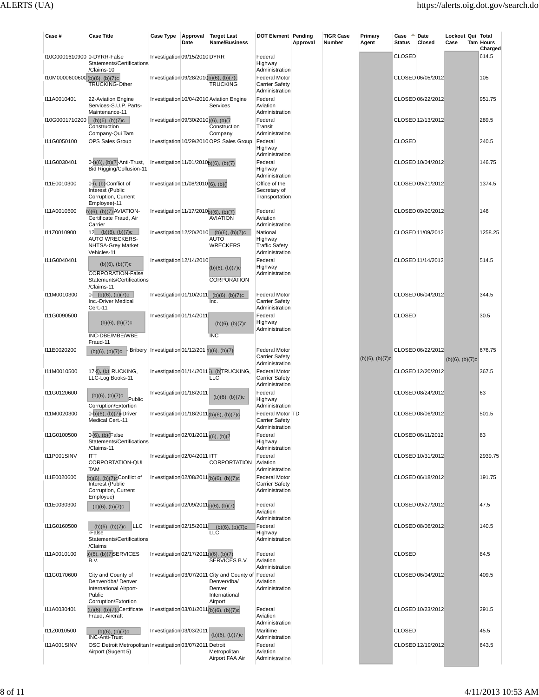| Case #                           | <b>Case Title</b>                                                                            | Case Type                                         | Date | Approval Target Last<br><b>Name/Business</b>                                          | <b>DOT Element Pending</b>                                      | Approval | <b>TIGR Case</b><br>Number | Primary<br>Agent     | Case<br><b>Status</b> | Date<br>Closed    | Lockout Qui Total<br>Case | <b>Tam Hours</b><br>Charged |
|----------------------------------|----------------------------------------------------------------------------------------------|---------------------------------------------------|------|---------------------------------------------------------------------------------------|-----------------------------------------------------------------|----------|----------------------------|----------------------|-----------------------|-------------------|---------------------------|-----------------------------|
| I10G0001610900 0-DYRR-False      | Statements/Certifications<br>/Claims-10                                                      | Investigation 09/15/2010 DYRR                     |      |                                                                                       | Federal<br>Highway<br>Administration                            |          |                            |                      | <b>CLOSED</b>         |                   |                           | 614.5                       |
| I10M0000600600(b)(6), (b)(7)c    | <b>TRUCKING-Other</b>                                                                        | Investigation 09/28/2010b)(6), (b)(7)c            |      | <b>TRUCKING</b>                                                                       | <b>Federal Motor</b><br><b>Carrier Safety</b><br>Administration |          |                            |                      |                       | CLOSED 06/05/2012 |                           | 105                         |
| I11A0010401                      | 22-Aviation Engine<br>Services-S.U.P. Parts-<br>Maintenance-11                               |                                                   |      | Investigation 10/04/2010 Aviation Engine<br>Services                                  | Federal<br>Aviation<br>Administration                           |          |                            |                      |                       | CLOSED 06/22/2012 |                           | 951.75                      |
| $110G0001710200$ (b)(6), (b)(7)c | Construction<br>Company-Qui Tam                                                              | Investigation 09/30/2010)(6), (b)(7               |      | Construction<br>Company                                                               | Federal<br>Transit<br>Administration                            |          |                            |                      |                       | CLOSED 12/13/2012 |                           | 289.5                       |
| I11G0050100                      | OPS Sales Group                                                                              |                                                   |      | Investigation 10/29/2010 OPS Sales Group                                              | Federal<br>Highway<br>Administration                            |          |                            |                      | <b>CLOSED</b>         |                   |                           | 240.5                       |
| I11G0030401                      | 0->)(6), (b)(7)-Anti-Trust,<br>Bid Rigging/Collusion-11                                      | Investigation 11/01/2010b)(6), (b)(7)             |      |                                                                                       | Federal<br>Highway<br>Administration                            |          |                            |                      |                       | CLOSED 10/04/2012 |                           | 146.75                      |
| I11E0010300                      | $0$ $\delta$ ), (b) Conflict of<br>Interest (Public<br>Corruption, Current                   | Investigation 11/08/2010 (6), (b)(                |      |                                                                                       | Office of the<br>Secretary of<br>Transportation                 |          |                            |                      |                       | CLOSED 09/21/2012 |                           | 1374.5                      |
| I11A0010600                      | Employee)-11<br>b)(6), (b)(7) AVIATION-<br>Certificate Fraud, Air<br>Carrier                 | Investigation 11/17/2010b)(6), (b)(7)             |      | <b>AVIATION</b>                                                                       | Federal<br>Aviation<br>Administration                           |          |                            |                      |                       | CLOSED 09/20/2012 |                           | 146                         |
| I11Z0010900                      | 12 (b)(6), (b)(7)c<br><b>AUTO WRECKERS-</b><br>NHTSA-Grey Market                             |                                                   |      | Investigation 12/20/2010 (b)(6), (b)(7)c<br><b>AUTO</b><br><b>WRECKERS</b>            | National<br>Highway<br><b>Traffic Safety</b>                    |          |                            |                      |                       | CLOSED 11/09/2012 |                           | 1258.25                     |
| I11G0040401                      | Vehicles-11<br>$(b)(6)$ , $(b)(7)c$<br><b>CORPORATION-False</b><br>Statements/Certifications | Investigation 12/14/2010                          |      | $(b)(6)$ , $(b)(7)c$<br><b>CORPORATION</b>                                            | Administration<br>Federal<br>Highway<br>Administration          |          |                            |                      |                       | CLOSED 11/14/2012 |                           | 514.5                       |
| I11M0010300                      | /Claims-11<br>$0-$ (b)(6), (b)(7)c<br>Inc.-Driver Medical<br>Cert.-11                        | Investigation 01/10/2011                          |      | $(b)(6)$ , $(b)(7)c$<br>Inc.                                                          | <b>Federal Motor</b><br><b>Carrier Safety</b><br>Administration |          |                            |                      |                       | CLOSED 06/04/2012 |                           | 344.5                       |
| I11G0090500                      | $(b)(6)$ , $(b)(7)c$                                                                         | Investigation 01/14/2011                          |      | $(b)(6)$ , $(b)(7)c$                                                                  | Federal<br>Highway<br>Administration                            |          |                            |                      | <b>CLOSED</b>         |                   |                           | 30.5                        |
|                                  | INC-DBE/MBE/WBE<br>Fraud-11                                                                  |                                                   |      | <b>INC</b>                                                                            |                                                                 |          |                            |                      |                       |                   |                           |                             |
| I11E0020200                      | $(b)(6)$ , $(b)(7)c$                                                                         | Bribery   Investigation $01/12/201$ b)(6), (b)(7) |      |                                                                                       | <b>Federal Motor</b><br><b>Carrier Safety</b><br>Administration |          |                            | $(b)(6)$ , $(b)(7)c$ |                       | CLOSED 06/22/2012 | $(b)(6)$ , $(b)(7)c$      | 676.75                      |
| I11M0010500                      | 17-5), (b) RUCKING,<br>LLC-Log Books-11                                                      |                                                   |      | Investigation 01/14/2011 ;), (b)TRUCKING,<br><b>LLC</b>                               | <b>Federal Motor</b><br><b>Carrier Safety</b><br>Administration |          |                            |                      |                       | CLOSED 12/20/2012 |                           | 367.5                       |
| I11G0120600                      | $(b)(6)$ , $(b)(7)c$<br>Public<br>Corruption/Extortion                                       | Investigation 01/18/2011                          |      | $(b)(6)$ , $(b)(7)c$                                                                  | Federal<br>Highway<br>Administration                            |          |                            |                      |                       | CLOSED 08/24/2012 |                           | 63                          |
| I11M0020300                      | 0-b)(6), (b)(7) eDriver<br>Medical Cert.-11                                                  |                                                   |      | Investigation 01/18/2011 (b)(6), (b)(7)c                                              | Federal Motor TD<br><b>Carrier Safety</b><br>Administration     |          |                            |                      |                       | CLOSED 08/06/2012 |                           | 501.5                       |
| I11G0100500                      | 0-(6), (b)(False<br>Statements/Certifications<br>/Claims-11                                  | Investigation 02/01/2011 (6), (b)(7               |      |                                                                                       | Federal<br>Highway<br>Administration                            |          |                            |                      |                       | CLOSED 06/11/2012 |                           | 83                          |
| <b>I11P001SINV</b>               | <b>ITT</b><br>CORPORTATION-QUI<br>TAM                                                        | Investigation 02/04/2011 ITT                      |      | <b>CORPORTATION</b>                                                                   | Federal<br>Aviation<br>Administration                           |          |                            |                      |                       | CLOSED 10/31/2012 |                           | 2939.75                     |
| I11E0020600                      | $(b)(6)$ , $(b)(7)c$ Conflict of<br>Interest (Public<br>Corruption, Current<br>Employee)     |                                                   |      | Investigation 02/08/2011 (b)(6), (b)(7)c                                              | <b>Federal Motor</b><br><b>Carrier Safety</b><br>Administration |          |                            |                      |                       | CLOSED 06/18/2012 |                           | 191.75                      |
| I11E0030300                      | $(b)(6)$ , $(b)(7)c$                                                                         | Investigation 02/09/2011b)(6), (b)(7)             |      |                                                                                       | Federal<br>Aviation<br>Administration                           |          |                            |                      |                       | CLOSED 09/27/2012 |                           | 47.5                        |
| I11G0160500                      | LLC<br>$(b)(6)$ , $(b)(7)c$<br>-False<br>Statements/Certifications                           | Investigation 02/15/2011                          |      | $(b)(6)$ , $(b)(7)c$<br><b>LLC</b>                                                    | Federal<br>Highway<br>Administration                            |          |                            |                      |                       | CLOSED 08/06/2012 |                           | 140.5                       |
| I11A0010100                      | /Claims<br>)(6), (b)(7)SERVICES<br>B.V.                                                      | Investigation 02/17/2011))(6), (b)(7)             |      | SERVICES B.V.                                                                         | Federal<br>Aviation                                             |          |                            |                      | <b>CLOSED</b>         |                   |                           | 84.5                        |
| I11G0170600                      | City and County of<br>Denver/dba/ Denver<br>International Airport-<br>Public                 |                                                   |      | Investigation 03/07/2011 City and County of<br>Denver/dba/<br>Denver<br>International | Administration<br>Federal<br>Aviation<br>Administration         |          |                            |                      |                       | CLOSED 06/04/2012 |                           | 409.5                       |
| I11A0030401                      | Corruption/Extortion<br>$(b)(6)$ , $(b)(7)c$ Certificate<br>Fraud, Aircraft                  |                                                   |      | Airport<br>Investigation 03/01/2011 (b)(6), (b)(7)c                                   | Federal<br>Aviation<br>Administration                           |          |                            |                      |                       | CLOSED 10/23/2012 |                           | 291.5                       |
| I11Z0010500                      | $(b)(6)$ , $(b)(7)c$<br><b>INC-Anti-Trust</b>                                                | Investigation 03/03/2011                          |      | $(b)(6)$ , $(b)(7)c$                                                                  | Maritime<br>Administration                                      |          |                            |                      | <b>CLOSED</b>         |                   |                           | 45.5                        |
| <b>I11A001SINV</b>               | OSC Detroit Metropolitan Investigation 03/07/2011 Detroit<br>Airport (Sugent 5)              |                                                   |      | Metropolitan<br>Airport FAA Air                                                       | Federal<br>Aviation<br>Administration                           |          |                            |                      |                       | CLOSED 12/19/2012 |                           | 643.5                       |
|                                  |                                                                                              |                                                   |      |                                                                                       |                                                                 |          |                            |                      |                       |                   |                           |                             |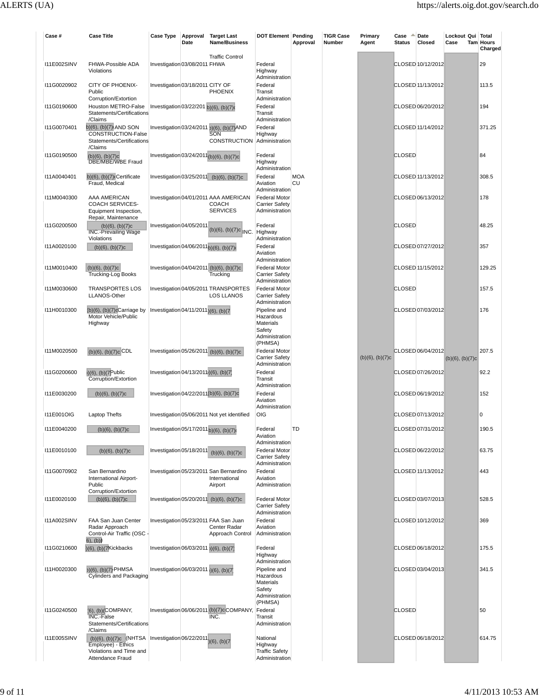| Case #             | <b>Case Title</b>                                                                                                                               | Case Type                              | Approval<br>Date | <b>Target Last</b><br>Name/Business                                                 | <b>DOT Element Pending</b>                                                           | Approval         | <b>TIGR Case</b><br>Number | Primary<br>Agent     | Case<br><b>Status</b> | Date<br>Closed    | Lockout Qui Total<br>Case | Tam Hours<br>Charged |
|--------------------|-------------------------------------------------------------------------------------------------------------------------------------------------|----------------------------------------|------------------|-------------------------------------------------------------------------------------|--------------------------------------------------------------------------------------|------------------|----------------------------|----------------------|-----------------------|-------------------|---------------------------|----------------------|
| <b>I11E002SINV</b> | FHWA-Possible ADA<br>Violations                                                                                                                 | Investigation 03/08/2011 FHWA          |                  | <b>Traffic Control</b>                                                              | Federal<br>Highway                                                                   |                  |                            |                      |                       | CLOSED 10/12/2012 |                           | 29                   |
| I11G0020902        | CITY OF PHOENIX-<br>Public                                                                                                                      | Investigation 03/18/2011 CITY OF       |                  | <b>PHOENIX</b>                                                                      | Administration<br>Federal<br>Transit                                                 |                  |                            |                      |                       | CLOSED 11/13/2012 |                           | 113.5                |
| I11G0190600        | Corruption/Extortion<br>Houston METRO-False<br>Statements/Certifications                                                                        | Investigation 03/22/201 b)(6), (b)(7)d |                  |                                                                                     | Administration<br>Federal<br>Transit                                                 |                  |                            |                      |                       | CLOSED 06/20/2012 |                           | 194                  |
| I11G0070401        | /Claims<br>b)(6), (b)(7) AND SON<br>CONSTRUCTION-False<br>Statements/Certifications                                                             |                                        |                  | Investigation 03/24/2011 <sub>0</sub> )(6), (b)(7)AND<br>SON<br><b>CONSTRUCTION</b> | Administration<br>Federal<br>Highway<br>Administration                               |                  |                            |                      |                       | CLOSED 11/14/2012 |                           | 371.25               |
| I11G0190500        | /Claims<br>(b)(6), (b)(7)c<br><b>DBE/MBE/WBE Fraud</b>                                                                                          |                                        |                  | Investigation 03/24/2011(b)(6), (b)(7)c                                             | Federal<br>Highway<br>Administration                                                 |                  |                            |                      | <b>CLOSED</b>         |                   |                           | 84                   |
| I11A0040401        | $b)(6)$ , $(b)(7)$ Certificate<br>Fraud, Medical                                                                                                |                                        |                  | Investigation 03/25/2011 (b)(6), (b)(7)c                                            | Federal<br>Aviation<br>Administration                                                | <b>MOA</b><br>CU |                            |                      |                       | CLOSED 11/13/2012 |                           | 308.5                |
| I11M0040300        | AAA AMERICAN<br><b>COACH SERVICES-</b><br>Equipment Inspection,<br>Repair, Maintenance                                                          |                                        |                  | Investigation 04/01/2011 AAA AMERICAN<br><b>COACH</b><br><b>SERVICES</b>            | <b>Federal Motor</b><br><b>Carrier Safety</b><br>Administration                      |                  |                            |                      |                       | CLOSED 06/13/2012 |                           | 178                  |
| I11G0200500        | $(b)(6)$ , $(b)(7)c$<br><b>INC.-Prevailing Wage</b><br>Violations                                                                               | Investigation 04/05/2011               |                  | $(b)(6)$ , $(b)(7)c$ INC.                                                           | Federal<br>Highway<br>Administration                                                 |                  |                            |                      | <b>CLOSED</b>         |                   |                           | 48.25                |
| I11A0020100        | $(b)(6)$ , $(b)(7)c$                                                                                                                            | Investigation 04/06/2011b)(6), (b)(7)  |                  |                                                                                     | Federal<br>Aviation<br>Administration                                                |                  |                            |                      |                       | CLOSED 07/27/2012 |                           | 357                  |
| I11M0010400        | $(b)(6)$ , $(b)(7)c$<br><b>Trucking-Log Books</b>                                                                                               |                                        |                  | Investigation 04/04/2011 (b)(6), (b)(7)c<br>Trucking                                | <b>Federal Motor</b><br><b>Carrier Safety</b><br>Administration                      |                  |                            |                      |                       | CLOSED 11/15/2012 |                           | 129.25               |
| I11M0030600        | <b>TRANSPORTES LOS</b><br>LLANOS-Other                                                                                                          |                                        |                  | Investigation 04/05/2011 TRANSPORTES<br><b>LOS LLANOS</b>                           | <b>Federal Motor</b><br><b>Carrier Safety</b><br>Administration                      |                  |                            |                      | <b>CLOSED</b>         |                   |                           | 157.5                |
| I11H0010300        | $(b)(6)$ , $(b)(7)cC$ arriage by<br>Motor Vehicle/Public<br>Highway                                                                             | Investigation 04/11/2011)(6), (b)(7    |                  |                                                                                     | Pipeline and<br>Hazardous<br><b>Materials</b><br>Safety<br>Administration            |                  |                            |                      |                       | CLOSED 07/03/2012 |                           | 176                  |
| I11M0020500        | $(b)(6)$ , $(b)(7)c$ CDL                                                                                                                        |                                        |                  | Investigation 05/26/2011 (b)(6), (b)(7)c                                            | (PHMSA)<br><b>Federal Motor</b><br><b>Carrier Safety</b>                             |                  |                            | $(b)(6)$ , $(b)(7)c$ |                       | CLOSED 06/04/2012 | $(b)(6)$ , $(b)(7)c$      | 207.5                |
| I11G0200600        | $b)(6)$ , $(b)(7$ Public<br>Corruption/Extortion                                                                                                | Investigation 04/13/2011;)(6), (b)(7)  |                  |                                                                                     | Administration<br>Federal<br>Transit                                                 |                  |                            |                      |                       | CLOSED 07/26/2012 |                           | 92.2                 |
| I11E0030200        | $(b)(6)$ , $(b)(7)c$                                                                                                                            |                                        |                  | Investigation 04/22/2011(b)(6), (b)(7)c                                             | Administration<br>Federal<br>Aviation<br>Administration                              |                  |                            |                      |                       | CLOSED 06/19/2012 |                           | 152                  |
| <b>I11E001OIG</b>  | Laptop Thefts                                                                                                                                   |                                        |                  | Investigation 05/06/2011 Not yet identified                                         | <b>OIG</b>                                                                           |                  |                            |                      |                       | CLOSED 07/13/2012 |                           | 0                    |
| I11E0040200        | $(b)(6)$ , $(b)(7)c$                                                                                                                            | Investigation 05/17/2011 b)(6), (b)(7) |                  |                                                                                     | Federal<br>Aviation<br>Administration                                                | TD               |                            |                      |                       | CLOSED 07/31/2012 |                           | 190.5                |
| I11E0010100        | $(b)(6)$ , $(b)(7)c$                                                                                                                            | Investigation 05/18/2011               |                  | $(b)(6)$ , $(b)(7)c$                                                                | <b>Federal Motor</b><br><b>Carrier Safety</b><br>Administration                      |                  |                            |                      |                       | CLOSED 06/22/2012 |                           | 63.75                |
| I11G0070902        | San Bernardino<br>International Airport-<br>Public                                                                                              |                                        |                  | Investigation 05/23/2011 San Bernardino<br>International<br>Airport                 | Federal<br>Aviation<br>Administration                                                |                  |                            |                      |                       | CLOSED 11/13/2012 |                           | 443                  |
| I11E0020100        | Corruption/Extortion<br>$(b)(6)$ , $(b)(7)c$                                                                                                    |                                        |                  | Investigation 05/20/2011 (b)(6), (b)(7)c                                            | <b>Federal Motor</b><br><b>Carrier Safety</b><br>Administration                      |                  |                            |                      |                       | CLOSED 03/07/2013 |                           | 528.5                |
| <b>I11A002SINV</b> | FAA San Juan Center<br>Radar Approach<br>Control-Air Traffic (OSC -                                                                             |                                        |                  | Investigation 05/23/2011 FAA San Juan<br>Center Radar<br>Approach Control           | Federal<br>Aviation<br>Administration                                                |                  |                            |                      |                       | CLOSED 10/12/2012 |                           | 369                  |
| I11G0210600        | 6), (b)<br>$(6)$ , $(b)(7$ Kickbacks                                                                                                            | Investigation 06/03/2011 (6), (b)(7)   |                  |                                                                                     | Federal<br>Highway                                                                   |                  |                            |                      |                       | CLOSED 06/18/2012 |                           | 175.5                |
| I11H0020300        | b)(6), (b)(7)-PHMSA<br><b>Cylinders and Packaging</b>                                                                                           | Investigation 06/03/2011 (6), (b)(7)   |                  |                                                                                     | Administration<br>Pipeline and<br>Hazardous<br>Materials<br>Safety<br>Administration |                  |                            |                      |                       | CLOSED 03/04/2013 |                           | 341.5                |
| I11G0240500        | (6), (b)(COMPANY,<br>INC.-False<br>Statements/Certifications<br>/Claims                                                                         |                                        |                  | Investigation 06/06/2011 (b)(7)c COMPANY,<br>INC.                                   | (PHMSA)<br>Federal<br>Transit<br>Administration                                      |                  |                            |                      | <b>CLOSED</b>         |                   |                           | 50                   |
| <b>I11E005SINV</b> | (b)(6), (b)(7)c (NHTSA   Investigation 06/22/2011 <sub>)(6)</sub> , (b)(7)<br>Employee) - Ethics<br>Violations and Time and<br>Attendance Fraud |                                        |                  |                                                                                     | National<br>Highway<br><b>Traffic Safety</b><br>Administration                       |                  |                            |                      |                       | CLOSED 06/18/2012 |                           | 614.75               |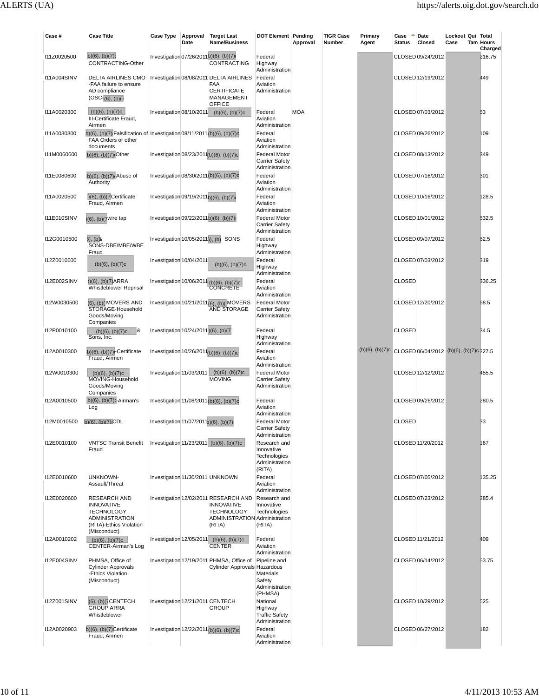| Case #             | <b>Case Title</b>                                                                                                                 | Case Type                                          | Date | Approval Target Last<br>Name/Business                                                                                      | <b>DOT Element Pending</b>                                                        | Approval   | <b>TIGR Case</b><br>Number | Primary<br>Agent | ∸<br>Case<br><b>Status</b> | Date<br>Closed    | Lockout Qui Total<br>Case                               | <b>Tam Hours</b><br>Charged |
|--------------------|-----------------------------------------------------------------------------------------------------------------------------------|----------------------------------------------------|------|----------------------------------------------------------------------------------------------------------------------------|-----------------------------------------------------------------------------------|------------|----------------------------|------------------|----------------------------|-------------------|---------------------------------------------------------|-----------------------------|
| I11Z0020500        | b) $(6)$ , $(b)(7)$<br>CONTRACTING-Other                                                                                          | Investigation 07/26/2011b)(6), (b)(7)              |      | <b>CONTRACTING</b>                                                                                                         | Federal<br>Highway<br>Administration                                              |            |                            |                  |                            | CLOSED 09/24/2012 |                                                         | 216.75                      |
| <b>I11A004SINV</b> | DELTA AIRLINES CMO<br>-FAA failure to ensure<br>AD compliance<br>(OSC <sub>1</sub> (6), (b)(7))                                   |                                                    |      | Investigation 08/08/2011 DELTA AIRLINES<br><b>FAA</b><br><b>CERTIFICATE</b><br>MANAGEMENT                                  | Federal<br>Aviation<br>Administration                                             |            |                            |                  |                            | CLOSED 12/19/2012 |                                                         | 449                         |
| I11A0020300        | $(b)(6)$ , $(b)(7)c$<br>III-Certificate Fraud,                                                                                    | Investigation 08/10/2011                           |      | <b>OFFICE</b><br>$(b)(6)$ , $(b)(7)c$                                                                                      | Federal<br>Aviation                                                               | <b>MOA</b> |                            |                  |                            | CLOSED 07/03/2012 |                                                         | 53                          |
| I11A0030300        | Airmen<br>b)(6), (b)(7) Falsification of Investigation 08/11/2011 (b)(6), (b)(7)c<br>FAA Orders or other                          |                                                    |      |                                                                                                                            | Administration<br>Federal<br>Aviation                                             |            |                            |                  |                            | CLOSED 09/26/2012 |                                                         | 109                         |
| I11M0060600        | documents<br>$(b)(6)$ , $(b)(7)c$ Other                                                                                           |                                                    |      | Investigation 08/23/2011(b)(6), (b)(7)c                                                                                    | Administration<br><b>Federal Motor</b><br><b>Carrier Safety</b>                   |            |                            |                  |                            | CLOSED 08/13/2012 |                                                         | 349                         |
| I11E0080600        | $b)(6)$ , $(b)(7)$ c Abuse of<br>Authority                                                                                        |                                                    |      | Investigation 08/30/2011(b)(6), (b)(7)c                                                                                    | Administration<br>Federal<br>Aviation                                             |            |                            |                  |                            | CLOSED 07/16/2012 |                                                         | 301                         |
| I11A0020500        | $(6)$ , $(b)(7$ Certificate<br>Fraud, Airmen                                                                                      | Investigation 09/19/2011b)(6), (b)(7)              |      |                                                                                                                            | Administration<br>Federal<br>Aviation                                             |            |                            |                  |                            | CLOSED 10/16/2012 |                                                         | 128.5                       |
| I11E010SINV        | (6), (b)(7 wire tap                                                                                                               | Investigation 09/22/2011b)(6), (b)(7)              |      |                                                                                                                            | Administration<br><b>Federal Motor</b><br><b>Carrier Safety</b><br>Administration |            |                            |                  |                            | CLOSED 10/01/2012 |                                                         | 532.5                       |
| I12G0010500        | 3), (b)&<br>SONS-DBE/MBE/WBE<br>Fraud                                                                                             |                                                    |      | Investigation 10/05/2011 <sub>5</sub> ), (b) SONS                                                                          | Federal<br>Highway<br>Administration                                              |            |                            |                  |                            | CLOSED 09/07/2012 |                                                         | 62.5                        |
| I12Z0010600        | $(b)(6)$ , $(b)(7)c$                                                                                                              | Investigation 10/04/2011                           |      | $(b)(6)$ , $(b)(7)c$                                                                                                       | Federal<br>Highway<br>Administration                                              |            |                            |                  |                            | CLOSED 07/03/2012 |                                                         | 319                         |
| <b>I12E002SINV</b> | (6), (b)(7)ARRA<br>Whistleblower Reprisal                                                                                         |                                                    |      | Investigation 10/06/2011 (b)(6), (b)(7)c<br>CONCRETE                                                                       | Federal<br>Aviation<br>Administration                                             |            |                            |                  | <b>CLOSED</b>              |                   |                                                         | 336.25                      |
| I12W0030500        | (6), (b)(MOVERS AND<br>STORAGE-Household<br>Goods/Moving<br>Companies                                                             |                                                    |      | Investigation 10/21/2011(6), (b)(MOVERS<br><b>AND STORAGE</b>                                                              | <b>Federal Motor</b><br><b>Carrier Safety</b><br>Administration                   |            |                            |                  |                            | CLOSED 12/20/2012 |                                                         | 68.5                        |
| I12P0010100        | 8<br>$(b)(6)$ , $(b)(7)c$<br>Sons, Inc.                                                                                           | Investigation 10/24/2011)(6), (b)(7)               |      |                                                                                                                            | Federal<br>Highway<br>Administration                                              |            |                            |                  | <b>CLOSED</b>              |                   |                                                         | 34.5                        |
| I12A0010300        | $b)(6)$ , $(b)(7)$ c-Certificate<br>Fraud, Airmen                                                                                 |                                                    |      | Investigation 10/26/2011(b)(6), (b)(7)c                                                                                    | Federal<br>Aviation<br>Administration                                             |            |                            |                  |                            |                   | (b)(6), (b)(7)c CLOSED 06/04/2012 (b)(6), (b)(7)c 227.5 |                             |
| I12W0010300        | $(b)(6)$ , $(b)(7)c$<br>MOVING-Household<br>Goods/Moving<br>Companies                                                             | Investigation 11/03/2011                           |      | $(b)(6)$ , $(b)(7)c$<br><b>MOVING</b>                                                                                      | <b>Federal Motor</b><br><b>Carrier Safety</b><br>Administration                   |            |                            |                  |                            | CLOSED 12/12/2012 |                                                         | 455.5                       |
| I12A0010500        | $(b)(6)$ , $(b)(7)c$ -Airman's<br>Log                                                                                             |                                                    |      | Investigation 11/08/2011 (b)(6), (b)(7)c                                                                                   | Federal<br>Aviation<br>Administration                                             |            |                            |                  |                            | CLOSED 09/26/2012 |                                                         | 280.5                       |
| I12M0010500        | b)(6). (b)(7)(CDL                                                                                                                 | Investigation 11/07/2011 <sub>2</sub> )(6), (b)(7) |      |                                                                                                                            | <b>Federal Motor</b><br><b>Carrier Safety</b><br>Administration                   |            |                            |                  | <b>CLOSED</b>              |                   |                                                         | 33                          |
| I12E0010100        | <b>VNTSC Transit Benefit</b><br>Fraud                                                                                             |                                                    |      | Investigation 11/23/2011 (b)(6), (b)(7)c                                                                                   | Research and<br>Innovative<br>Technologies<br>Administration<br>(RITA)            |            |                            |                  |                            | CLOSED 11/20/2012 |                                                         | 167                         |
| I12E0010600        | <b>UNKNOWN-</b><br>Assault/Threat                                                                                                 |                                                    |      | Investigation 11/30/2011 UNKNOWN                                                                                           | Federal<br>Aviation<br>Administration                                             |            |                            |                  |                            | CLOSED 07/05/2012 |                                                         | 135.25                      |
| I12E0020600        | <b>RESEARCH AND</b><br><b>INNOVATIVE</b><br><b>TECHNOLOGY</b><br><b>ADMINISTRATION</b><br>(RITA)-Ethics Violation<br>(Misconduct) |                                                    |      | Investigation 12/02/2011 RESEARCH AND<br><b>INNOVATIVE</b><br><b>TECHNOLOGY</b><br>ADMINISTRATION Administration<br>(RITA) | Research and<br>Innovative<br>Technologies<br>(RITA)                              |            |                            |                  |                            | CLOSED 07/23/2012 |                                                         | 285.4                       |
| I12A0010202        | $(b)(6)$ , $(b)(7)c$<br><b>CENTER-Airman's Log</b>                                                                                |                                                    |      | Investigation 12/05/2011 (b)(6), (b)(7)c<br><b>CENTER</b>                                                                  | Federal<br>Aviation<br>Administration                                             |            |                            |                  |                            | CLOSED 11/21/2012 |                                                         | 409                         |
| <b>I12E004SINV</b> | PHMSA, Office of<br><b>Cylinder Approvals</b><br>-Ethics Violation<br>(Misconduct)                                                |                                                    |      | Investigation 12/19/2011 PHMSA, Office of<br>Cylinder Approvals Hazardous                                                  | Pipeline and<br>Materials<br>Safety<br>Administration<br>(PHMSA)                  |            |                            |                  |                            | CLOSED 06/14/2012 |                                                         | 53.75                       |
| 112Z001SINV        | (6), (b)( $\overline{i}$ CENTECH<br><b>GROUP ARRA</b><br>Whistleblower                                                            | Investigation 12/21/2011 CENTECH                   |      | <b>GROUP</b>                                                                                                               | National<br>Highway<br><b>Traffic Safety</b><br>Administration                    |            |                            |                  |                            | CLOSED 10/29/2012 |                                                         | 525                         |
| I12A0020903        | b)(6), (b)(7)Certificate<br>Fraud, Airmen                                                                                         |                                                    |      | Investigation 12/22/2011 (b)(6), (b)(7)c                                                                                   | Federal<br>Aviation<br>Administration                                             |            |                            |                  |                            | CLOSED 06/27/2012 |                                                         | 182                         |